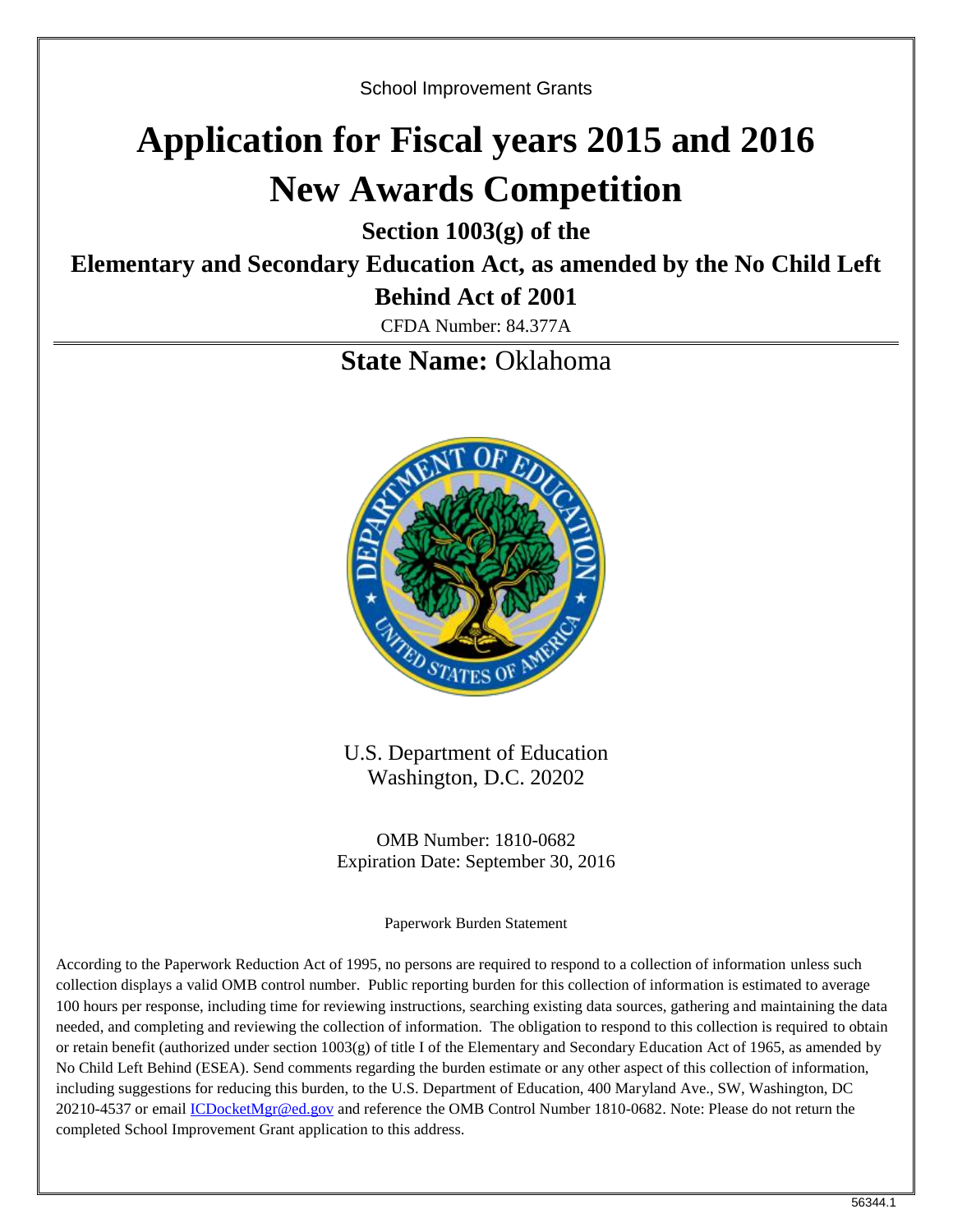School Improvement Grants

# **Application for Fiscal years 2015 and 2016 New Awards Competition**

**Section 1003(g) of the**

# **Elementary and Secondary Education Act, as amended by the No Child Left**

**Behind Act of 2001**

CFDA Number: 84.377A

**State Name:** Oklahoma



U.S. Department of Education Washington, D.C. 20202

OMB Number: 1810-0682 Expiration Date: September 30, 2016

Paperwork Burden Statement

According to the Paperwork Reduction Act of 1995, no persons are required to respond to a collection of information unless such collection displays a valid OMB control number. Public reporting burden for this collection of information is estimated to average 100 hours per response, including time for reviewing instructions, searching existing data sources, gathering and maintaining the data needed, and completing and reviewing the collection of information. The obligation to respond to this collection is required to obtain or retain benefit (authorized under section 1003(g) of title I of the Elementary and Secondary Education Act of 1965, as amended by No Child Left Behind (ESEA). Send comments regarding the burden estimate or any other aspect of this collection of information, including suggestions for reducing this burden, to the U.S. Department of Education, 400 Maryland Ave., SW, Washington, DC 20210-4537 or email [ICDocketMgr@ed.gov](mailto:ICDocketMgr@ed.gov) and reference the OMB Control Number 1810-0682. Note: Please do not return the completed School Improvement Grant application to this address.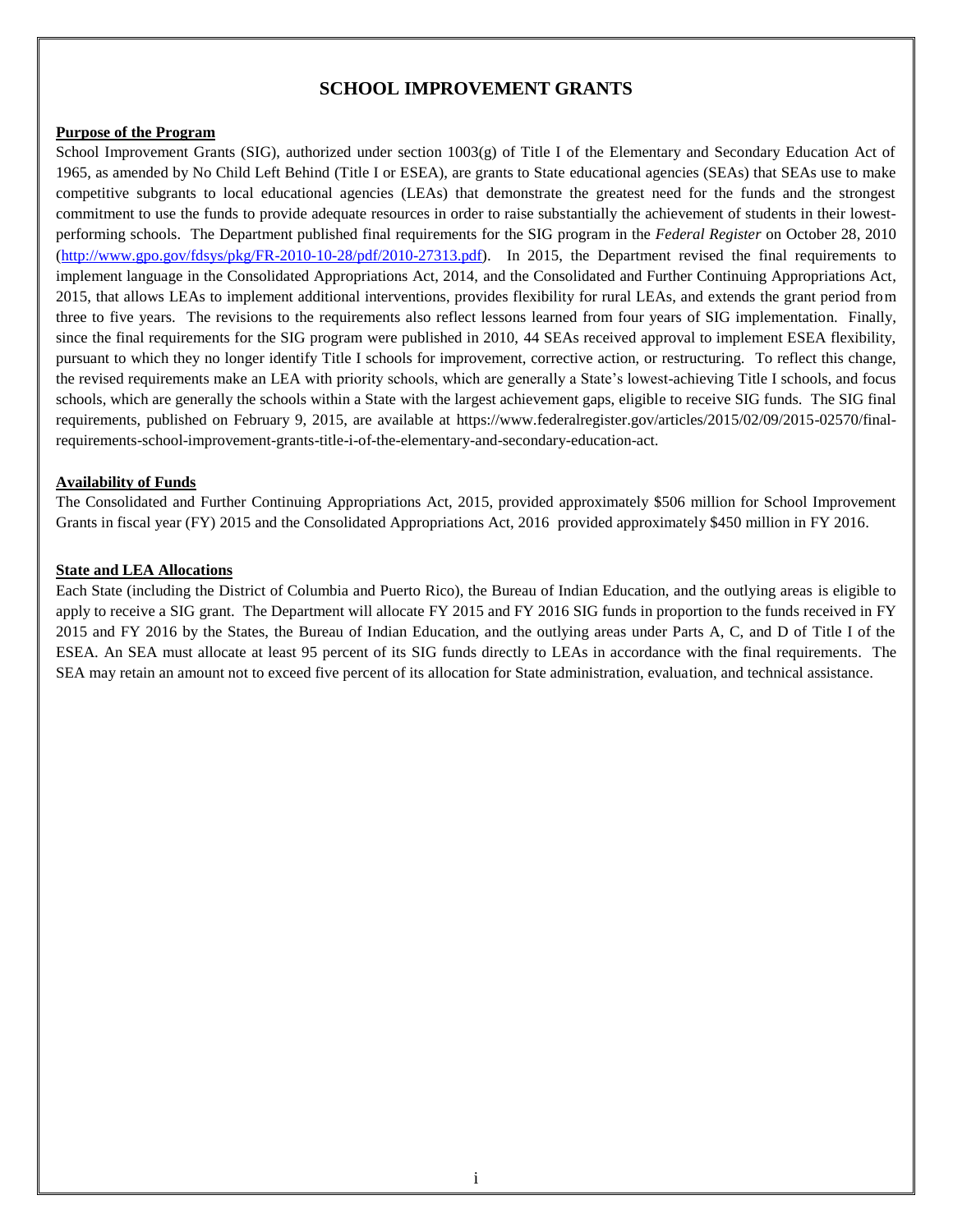#### **SCHOOL IMPROVEMENT GRANTS**

#### **Purpose of the Program**

School Improvement Grants (SIG), authorized under section  $1003(g)$  of Title I of the Elementary and Secondary Education Act of 1965, as amended by No Child Left Behind (Title I or ESEA), are grants to State educational agencies (SEAs) that SEAs use to make competitive subgrants to local educational agencies (LEAs) that demonstrate the greatest need for the funds and the strongest commitment to use the funds to provide adequate resources in order to raise substantially the achievement of students in their lowestperforming schools. The Department published final requirements for the SIG program in the *Federal Register* on October 28, 2010 [\(http://www.gpo.gov/fdsys/pkg/FR-2010-10-28/pdf/2010-27313.pdf\)](http://www.gpo.gov/fdsys/pkg/FR-2010-10-28/pdf/2010-27313.pdf). In 2015, the Department revised the final requirements to implement language in the Consolidated Appropriations Act, 2014, and the Consolidated and Further Continuing Appropriations Act, 2015, that allows LEAs to implement additional interventions, provides flexibility for rural LEAs, and extends the grant period from three to five years. The revisions to the requirements also reflect lessons learned from four years of SIG implementation. Finally, since the final requirements for the SIG program were published in 2010, 44 SEAs received approval to implement ESEA flexibility, pursuant to which they no longer identify Title I schools for improvement, corrective action, or restructuring. To reflect this change, the revised requirements make an LEA with priority schools, which are generally a State's lowest-achieving Title I schools, and focus schools, which are generally the schools within a State with the largest achievement gaps, eligible to receive SIG funds. The SIG final requirements, published on February 9, 2015, are available at https://www.federalregister.gov/articles/2015/02/09/2015-02570/finalrequirements-school-improvement-grants-title-i-of-the-elementary-and-secondary-education-act.

#### **Availability of Funds**

The Consolidated and Further Continuing Appropriations Act, 2015, provided approximately \$506 million for School Improvement Grants in fiscal year (FY) 2015 and the Consolidated Appropriations Act, 2016 provided approximately \$450 million in FY 2016.

#### **State and LEA Allocations**

Each State (including the District of Columbia and Puerto Rico), the Bureau of Indian Education, and the outlying areas is eligible to apply to receive a SIG grant. The Department will allocate FY 2015 and FY 2016 SIG funds in proportion to the funds received in FY 2015 and FY 2016 by the States, the Bureau of Indian Education, and the outlying areas under Parts A, C, and D of Title I of the ESEA. An SEA must allocate at least 95 percent of its SIG funds directly to LEAs in accordance with the final requirements. The SEA may retain an amount not to exceed five percent of its allocation for State administration, evaluation, and technical assistance.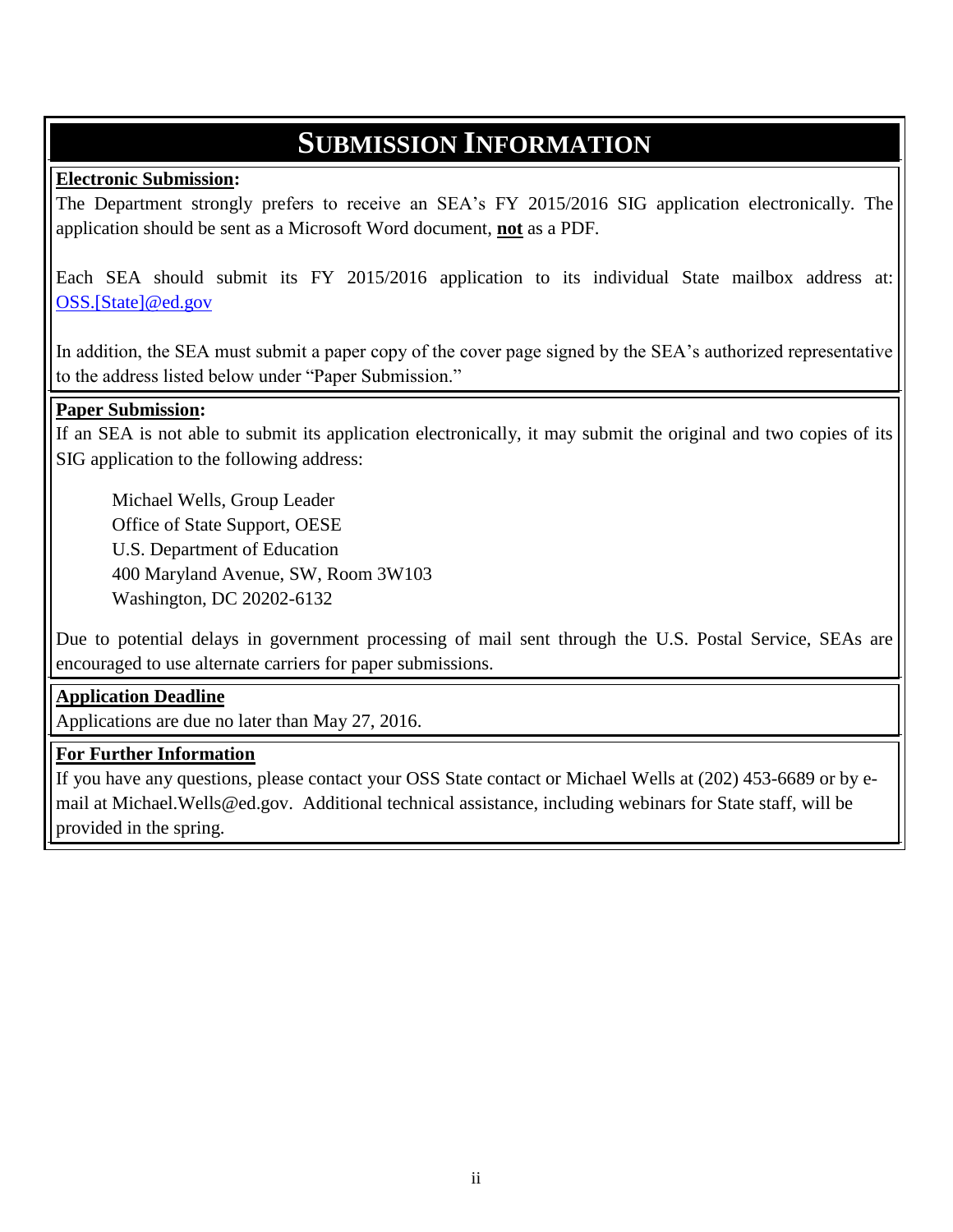## **SUBMISSION INFORMATION**

#### **Electronic Submission:**

The Department strongly prefers to receive an SEA's FY 2015/2016 SIG application electronically. The application should be sent as a Microsoft Word document, **not** as a PDF.

Each SEA should submit its FY 2015/2016 application to its individual State mailbox address at: [OSS.\[State\]@ed.gov](mailto:OESE.OSS.[Statename]@ed.gov)

In addition, the SEA must submit a paper copy of the cover page signed by the SEA's authorized representative to the address listed below under "Paper Submission."

#### **Paper Submission:**

If an SEA is not able to submit its application electronically, it may submit the original and two copies of its SIG application to the following address:

Michael Wells, Group Leader Office of State Support, OESE U.S. Department of Education 400 Maryland Avenue, SW, Room 3W103 Washington, DC 20202-6132

Due to potential delays in government processing of mail sent through the U.S. Postal Service, SEAs are encouraged to use alternate carriers for paper submissions.

#### **Application Deadline**

Applications are due no later than May 27, 2016.

#### **For Further Information**

If you have any questions, please contact your OSS State contact or Michael Wells at (202) 453-6689 or by email at Michael.Wells@ed.gov. Additional technical assistance, including webinars for State staff, will be provided in the spring.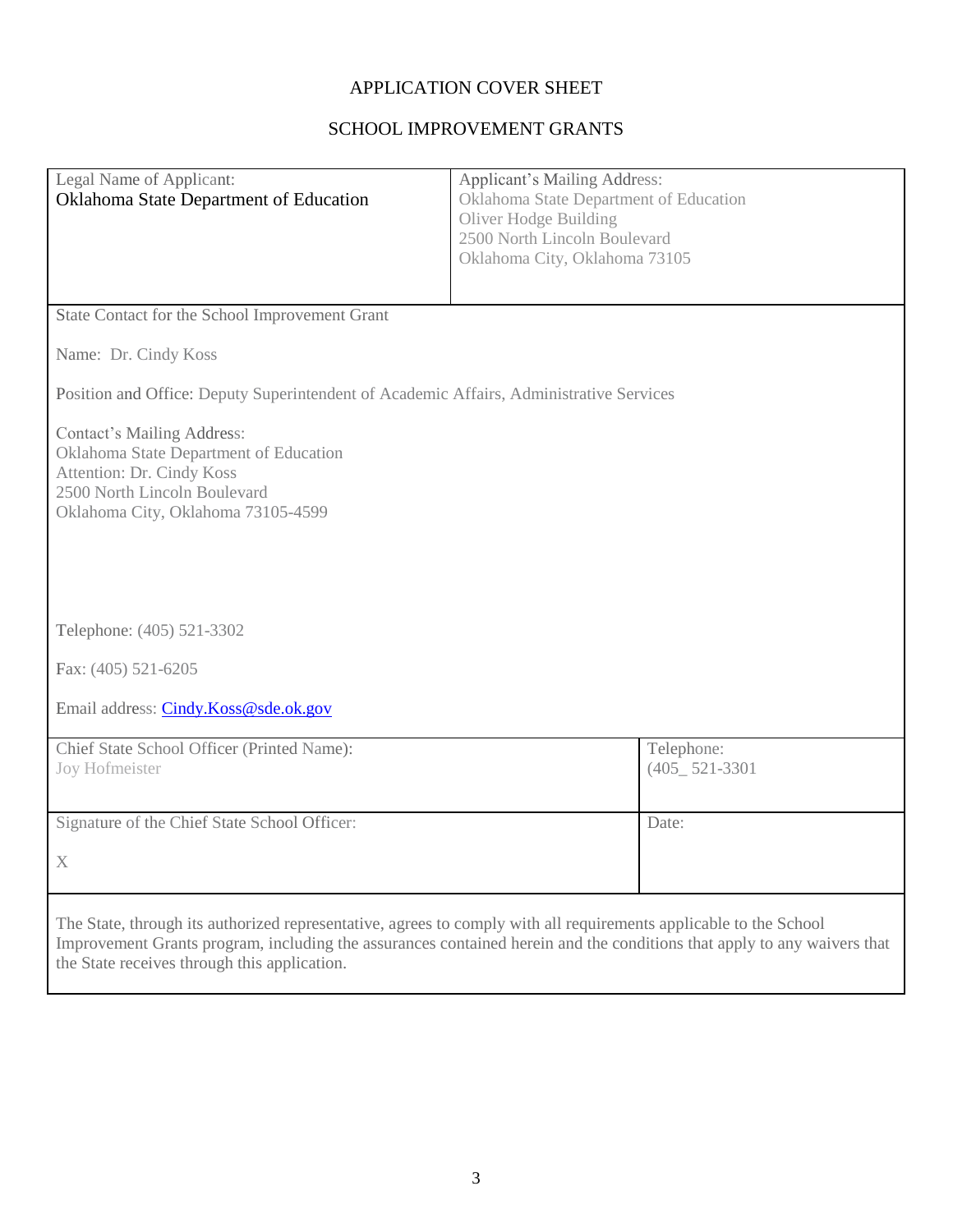#### APPLICATION COVER SHEET

#### SCHOOL IMPROVEMENT GRANTS

|                                                                                                                   | Applicant's Mailing Address:                                                                                            |  |  |  |
|-------------------------------------------------------------------------------------------------------------------|-------------------------------------------------------------------------------------------------------------------------|--|--|--|
| Legal Name of Applicant:                                                                                          |                                                                                                                         |  |  |  |
| Oklahoma State Department of Education                                                                            | Oklahoma State Department of Education                                                                                  |  |  |  |
|                                                                                                                   | Oliver Hodge Building                                                                                                   |  |  |  |
|                                                                                                                   | 2500 North Lincoln Boulevard                                                                                            |  |  |  |
|                                                                                                                   | Oklahoma City, Oklahoma 73105                                                                                           |  |  |  |
|                                                                                                                   |                                                                                                                         |  |  |  |
|                                                                                                                   |                                                                                                                         |  |  |  |
| State Contact for the School Improvement Grant                                                                    |                                                                                                                         |  |  |  |
|                                                                                                                   |                                                                                                                         |  |  |  |
| Name: Dr. Cindy Koss                                                                                              |                                                                                                                         |  |  |  |
|                                                                                                                   |                                                                                                                         |  |  |  |
| Position and Office: Deputy Superintendent of Academic Affairs, Administrative Services                           |                                                                                                                         |  |  |  |
|                                                                                                                   |                                                                                                                         |  |  |  |
| <b>Contact's Mailing Address:</b>                                                                                 |                                                                                                                         |  |  |  |
| Oklahoma State Department of Education                                                                            |                                                                                                                         |  |  |  |
| Attention: Dr. Cindy Koss                                                                                         |                                                                                                                         |  |  |  |
| 2500 North Lincoln Boulevard                                                                                      |                                                                                                                         |  |  |  |
| Oklahoma City, Oklahoma 73105-4599                                                                                |                                                                                                                         |  |  |  |
|                                                                                                                   |                                                                                                                         |  |  |  |
|                                                                                                                   |                                                                                                                         |  |  |  |
|                                                                                                                   |                                                                                                                         |  |  |  |
|                                                                                                                   |                                                                                                                         |  |  |  |
|                                                                                                                   |                                                                                                                         |  |  |  |
| Telephone: (405) 521-3302                                                                                         |                                                                                                                         |  |  |  |
|                                                                                                                   |                                                                                                                         |  |  |  |
| Fax: (405) 521-6205                                                                                               |                                                                                                                         |  |  |  |
|                                                                                                                   |                                                                                                                         |  |  |  |
| Email address: Cindy.Koss@sde.ok.gov                                                                              |                                                                                                                         |  |  |  |
|                                                                                                                   |                                                                                                                         |  |  |  |
| Chief State School Officer (Printed Name):                                                                        |                                                                                                                         |  |  |  |
|                                                                                                                   | Telephone:                                                                                                              |  |  |  |
| Joy Hofmeister                                                                                                    | $(405 - 521 - 3301)$                                                                                                    |  |  |  |
|                                                                                                                   |                                                                                                                         |  |  |  |
| Signature of the Chief State School Officer:                                                                      |                                                                                                                         |  |  |  |
|                                                                                                                   | Date:                                                                                                                   |  |  |  |
|                                                                                                                   |                                                                                                                         |  |  |  |
| $\mathbf X$                                                                                                       |                                                                                                                         |  |  |  |
|                                                                                                                   |                                                                                                                         |  |  |  |
|                                                                                                                   |                                                                                                                         |  |  |  |
| The State, through its authorized representative, agrees to comply with all requirements applicable to the School |                                                                                                                         |  |  |  |
|                                                                                                                   | Improvement Grants program, including the assurances contained herein and the conditions that apply to any waivers that |  |  |  |
| the State receives through this application.                                                                      |                                                                                                                         |  |  |  |

and the control of the control of the control of the control of the control of the control of the control of the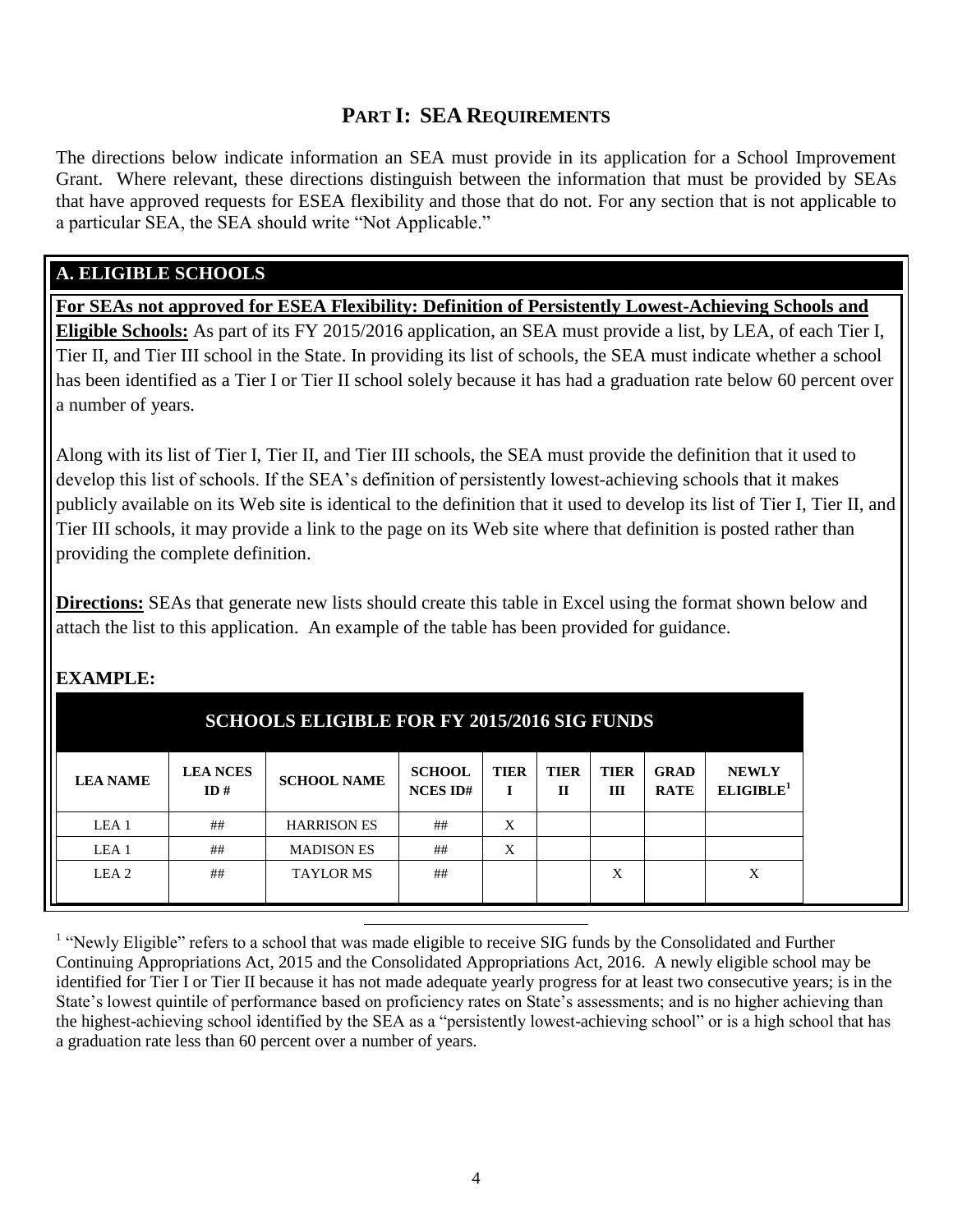#### **PART I: SEA REQUIREMENTS**

The directions below indicate information an SEA must provide in its application for a School Improvement Grant. Where relevant, these directions distinguish between the information that must be provided by SEAs that have approved requests for ESEA flexibility and those that do not. For any section that is not applicable to a particular SEA, the SEA should write "Not Applicable."

#### **A. ELIGIBLE SCHOOLS**

**For SEAs not approved for ESEA Flexibility: Definition of Persistently Lowest-Achieving Schools and Eligible Schools:** As part of its FY 2015/2016 application, an SEA must provide a list, by LEA, of each Tier I, Tier II, and Tier III school in the State. In providing its list of schools, the SEA must indicate whether a school has been identified as a Tier I or Tier II school solely because it has had a graduation rate below 60 percent over a number of years.

Along with its list of Tier I, Tier II, and Tier III schools, the SEA must provide the definition that it used to develop this list of schools. If the SEA's definition of persistently lowest-achieving schools that it makes publicly available on its Web site is identical to the definition that it used to develop its list of Tier I, Tier II, and Tier III schools, it may provide a link to the page on its Web site where that definition is posted rather than providing the complete definition.

**Directions:** SEAs that generate new lists should create this table in Excel using the format shown below and attach the list to this application. An example of the table has been provided for guidance.

| <b>SCHOOLS ELIGIBLE FOR FY 2015/2016 SIG FUNDS</b> |                  |                        |                    |                                  |                  |                             |                    |                            |                                       |
|----------------------------------------------------|------------------|------------------------|--------------------|----------------------------------|------------------|-----------------------------|--------------------|----------------------------|---------------------------------------|
|                                                    | <b>LEA NAME</b>  | <b>LEA NCES</b><br>ID# | <b>SCHOOL NAME</b> | <b>SCHOOL</b><br><b>NCES ID#</b> | <b>TIER</b><br>п | <b>TIER</b><br>$\mathbf{H}$ | <b>TIER</b><br>III | <b>GRAD</b><br><b>RATE</b> | <b>NEWLY</b><br>ELIGIBLE <sup>1</sup> |
|                                                    | LEA <sub>1</sub> | ##                     | <b>HARRISON ES</b> | ##                               | X                |                             |                    |                            |                                       |
|                                                    | LEA <sub>1</sub> | ##                     | <b>MADISON ES</b>  | ##                               | X                |                             |                    |                            |                                       |
|                                                    | LEA <sub>2</sub> | ##                     | <b>TAYLOR MS</b>   | ##                               |                  |                             | X                  |                            | X                                     |

l

#### **EXAMPLE:**

<sup>1</sup> "Newly Eligible" refers to a school that was made eligible to receive SIG funds by the Consolidated and Further Continuing Appropriations Act, 2015 and the Consolidated Appropriations Act, 2016. A newly eligible school may be identified for Tier I or Tier II because it has not made adequate yearly progress for at least two consecutive years; is in the State's lowest quintile of performance based on proficiency rates on State's assessments; and is no higher achieving than the highest-achieving school identified by the SEA as a "persistently lowest-achieving school" or is a high school that has a graduation rate less than 60 percent over a number of years.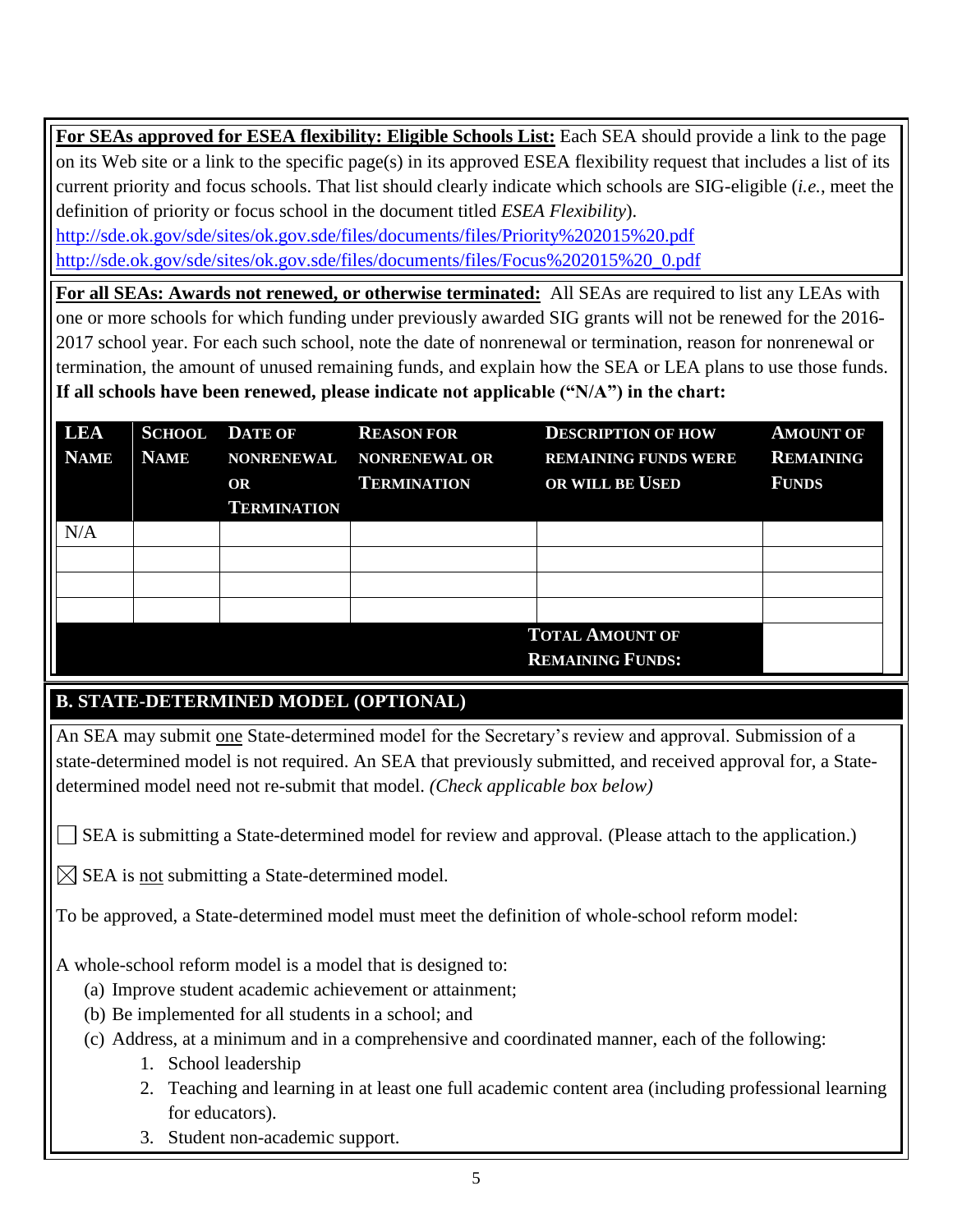**For SEAs approved for ESEA flexibility: Eligible Schools List:** Each SEA should provide a link to the page on its Web site or a link to the specific page(s) in its approved ESEA flexibility request that includes a list of its current priority and focus schools. That list should clearly indicate which schools are SIG-eligible (*i.e.*, meet the definition of priority or focus school in the document titled *ESEA Flexibility*).

<http://sde.ok.gov/sde/sites/ok.gov.sde/files/documents/files/Priority%202015%20.pdf> [http://sde.ok.gov/sde/sites/ok.gov.sde/files/documents/files/Focus%202015%20\\_0.pdf](http://sde.ok.gov/sde/sites/ok.gov.sde/files/documents/files/Focus%202015%20_0.pdf)

**For all SEAs: Awards not renewed, or otherwise terminated:** All SEAs are required to list any LEAs with one or more schools for which funding under previously awarded SIG grants will not be renewed for the 2016- 2017 school year. For each such school, note the date of nonrenewal or termination, reason for nonrenewal or termination, the amount of unused remaining funds, and explain how the SEA or LEA plans to use those funds. **If all schools have been renewed, please indicate not applicable ("N/A") in the chart:**

| <b>LEA</b><br><b>NAME</b> | <b>SCHOOL</b><br><b>NAME</b> | <b>DATE OF</b><br><b>NONRENEWAL</b><br>OR<br><b>TERMINATION</b> | <b>REASON FOR</b><br><b>NONRENEWAL OR</b><br><b>TERMINATION</b> | <b>DESCRIPTION OF HOW</b><br><b>REMAINING FUNDS WERE</b><br>OR WILL BE USED | <b>AMOUNT OF</b><br><b>REMAINING</b><br><b>FUNDS</b> |  |
|---------------------------|------------------------------|-----------------------------------------------------------------|-----------------------------------------------------------------|-----------------------------------------------------------------------------|------------------------------------------------------|--|
| N/A                       |                              |                                                                 |                                                                 |                                                                             |                                                      |  |
|                           |                              |                                                                 |                                                                 |                                                                             |                                                      |  |
|                           |                              |                                                                 |                                                                 |                                                                             |                                                      |  |
|                           |                              |                                                                 |                                                                 |                                                                             |                                                      |  |
|                           | <b>TOTAL AMOUNT OF</b>       |                                                                 |                                                                 |                                                                             |                                                      |  |
|                           | <b>REMAINING FUNDS:</b>      |                                                                 |                                                                 |                                                                             |                                                      |  |

#### **B. STATE-DETERMINED MODEL (OPTIONAL)**

An SEA may submit one State-determined model for the Secretary's review and approval. Submission of a state-determined model is not required. An SEA that previously submitted, and received approval for, a Statedetermined model need not re-submit that model. *(Check applicable box below)*

SEA is submitting a State-determined model for review and approval*.* (Please attach to the application.)

SEA is not submitting a State-determined model*.*

To be approved, a State-determined model must meet the definition of whole-school reform model:

A whole-school reform model is a model that is designed to:

- (a) Improve student academic achievement or attainment;
- (b) Be implemented for all students in a school; and
- (c) Address, at a minimum and in a comprehensive and coordinated manner, each of the following:
	- 1. School leadership
	- 2. Teaching and learning in at least one full academic content area (including professional learning for educators).
	- 3. Student non-academic support.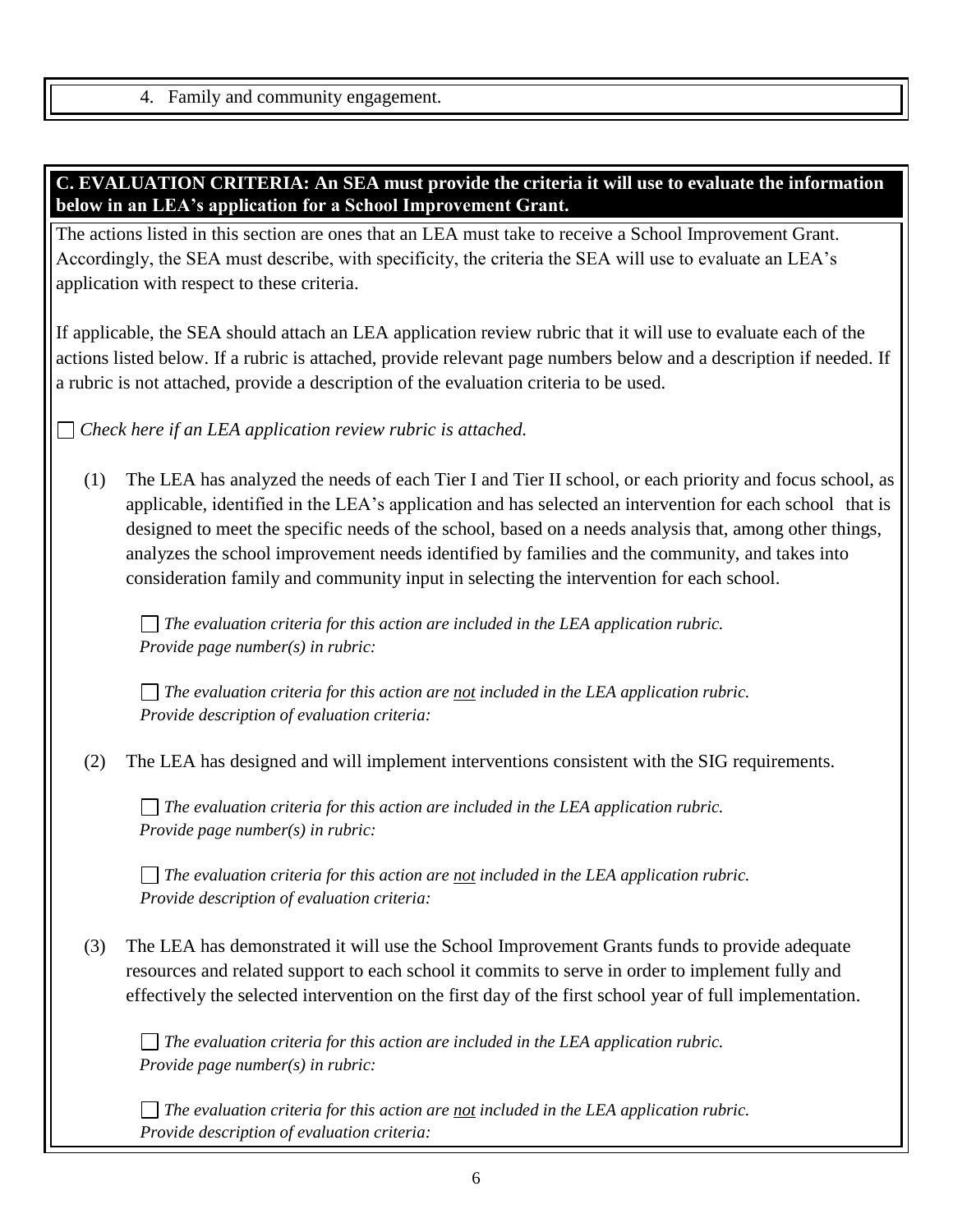4. Family and community engagement.

#### **C. EVALUATION CRITERIA: An SEA must provide the criteria it will use to evaluate the information below in an LEA's application for a School Improvement Grant.**

The actions listed in this section are ones that an LEA must take to receive a School Improvement Grant. Accordingly, the SEA must describe, with specificity, the criteria the SEA will use to evaluate an LEA's application with respect to these criteria.

If applicable, the SEA should attach an LEA application review rubric that it will use to evaluate each of the actions listed below. If a rubric is attached, provide relevant page numbers below and a description if needed. If a rubric is not attached, provide a description of the evaluation criteria to be used.

*Check here if an LEA application review rubric is attached.*

(1) The LEA has analyzed the needs of each Tier I and Tier II school, or each priority and focus school, as applicable, identified in the LEA's application and has selected an intervention for each school that is designed to meet the specific needs of the school, based on a needs analysis that, among other things, analyzes the school improvement needs identified by families and the community, and takes into consideration family and community input in selecting the intervention for each school.

*The evaluation criteria for this action are included in the LEA application rubric. Provide page number(s) in rubric:* 

*The evaluation criteria for this action are not included in the LEA application rubric. Provide description of evaluation criteria:*

(2) The LEA has designed and will implement interventions consistent with the SIG requirements.

*The evaluation criteria for this action are included in the LEA application rubric. Provide page number(s) in rubric:* 

*The evaluation criteria for this action are not included in the LEA application rubric. Provide description of evaluation criteria:*

(3) The LEA has demonstrated it will use the School Improvement Grants funds to provide adequate resources and related support to each school it commits to serve in order to implement fully and effectively the selected intervention on the first day of the first school year of full implementation.

*The evaluation criteria for this action are included in the LEA application rubric. Provide page number(s) in rubric:* 

*The evaluation criteria for this action are not included in the LEA application rubric. Provide description of evaluation criteria:*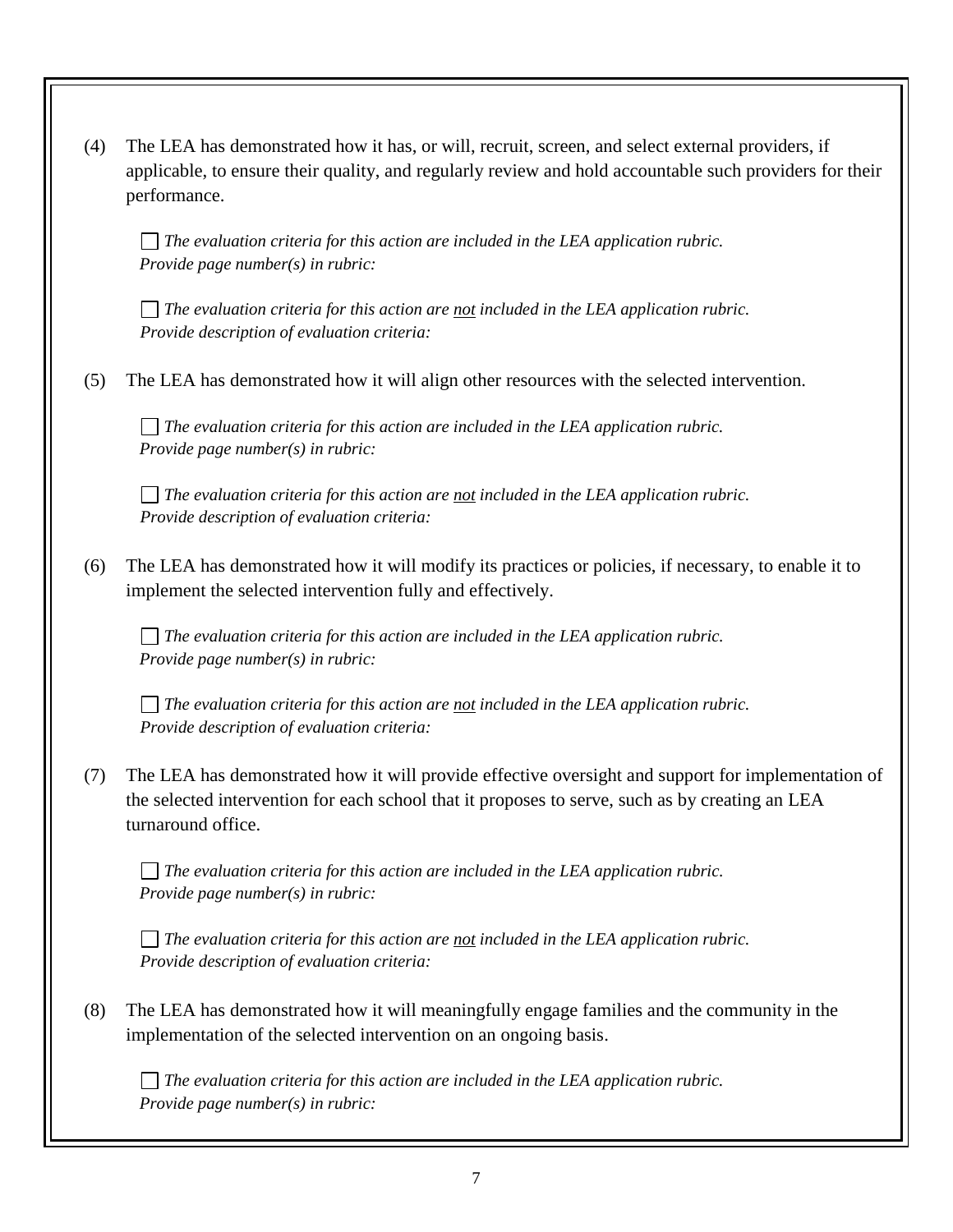| (4) | The LEA has demonstrated how it has, or will, recruit, screen, and select external providers, if<br>applicable, to ensure their quality, and regularly review and hold accountable such providers for their<br>performance. |
|-----|-----------------------------------------------------------------------------------------------------------------------------------------------------------------------------------------------------------------------------|
|     | The evaluation criteria for this action are included in the LEA application rubric.<br>Provide page number( $s$ ) in rubric:                                                                                                |
|     | The evaluation criteria for this action are not included in the LEA application rubric.<br>Provide description of evaluation criteria:                                                                                      |
| (5) | The LEA has demonstrated how it will align other resources with the selected intervention.                                                                                                                                  |
|     | The evaluation criteria for this action are included in the LEA application rubric.<br>Provide page number( $s$ ) in rubric:                                                                                                |
|     | The evaluation criteria for this action are not included in the LEA application rubric.<br>Provide description of evaluation criteria:                                                                                      |
| (6) | The LEA has demonstrated how it will modify its practices or policies, if necessary, to enable it to<br>implement the selected intervention fully and effectively.                                                          |
|     | The evaluation criteria for this action are included in the LEA application rubric.<br>Provide page number(s) in rubric:                                                                                                    |

*The evaluation criteria for this action are not included in the LEA application rubric. Provide description of evaluation criteria:*

(7) The LEA has demonstrated how it will provide effective oversight and support for implementation of the selected intervention for each school that it proposes to serve, such as by creating an LEA turnaround office.

*The evaluation criteria for this action are included in the LEA application rubric. Provide page number(s) in rubric:* 

*The evaluation criteria for this action are not included in the LEA application rubric. Provide description of evaluation criteria:*

(8) The LEA has demonstrated how it will meaningfully engage families and the community in the implementation of the selected intervention on an ongoing basis.

*The evaluation criteria for this action are included in the LEA application rubric. Provide page number(s) in rubric:*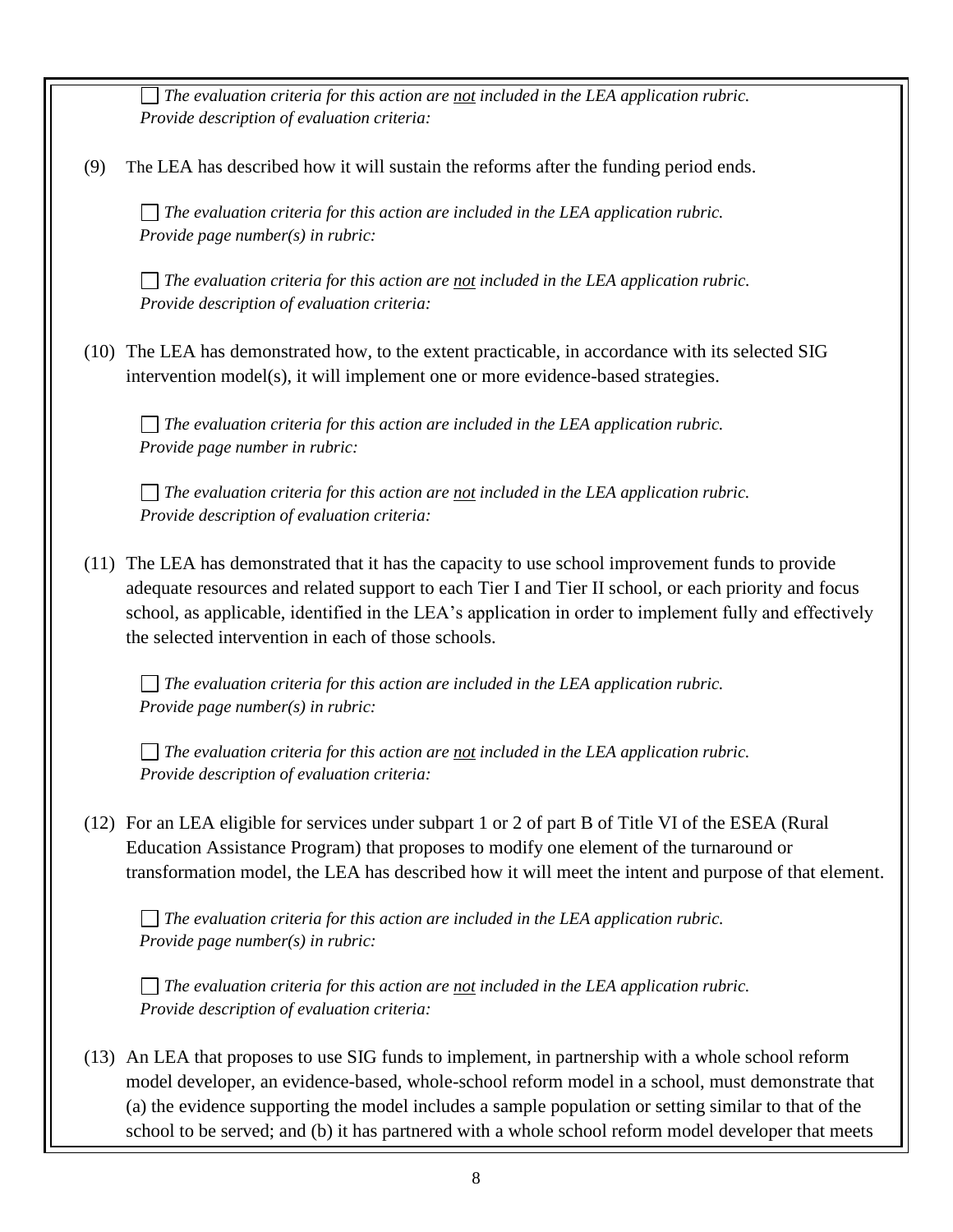*The evaluation criteria for this action are not included in the LEA application rubric. Provide description of evaluation criteria:*

(9) The LEA has described how it will sustain the reforms after the funding period ends.

*The evaluation criteria for this action are included in the LEA application rubric. Provide page number(s) in rubric:* 

*The evaluation criteria for this action are not included in the LEA application rubric. Provide description of evaluation criteria:*

(10) The LEA has demonstrated how, to the extent practicable, in accordance with its selected SIG intervention model(s), it will implement one or more evidence-based strategies.

*The evaluation criteria for this action are included in the LEA application rubric. Provide page number in rubric:* 

*The evaluation criteria for this action are not included in the LEA application rubric. Provide description of evaluation criteria:*

(11) The LEA has demonstrated that it has the capacity to use school improvement funds to provide adequate resources and related support to each Tier I and Tier II school, or each priority and focus school, as applicable, identified in the LEA's application in order to implement fully and effectively the selected intervention in each of those schools.

*The evaluation criteria for this action are included in the LEA application rubric. Provide page number(s) in rubric:* 

*The evaluation criteria for this action are not included in the LEA application rubric. Provide description of evaluation criteria:*

(12) For an LEA eligible for services under subpart 1 or 2 of part B of Title VI of the ESEA (Rural Education Assistance Program) that proposes to modify one element of the turnaround or transformation model, the LEA has described how it will meet the intent and purpose of that element.

*The evaluation criteria for this action are included in the LEA application rubric. Provide page number(s) in rubric:* 

*The evaluation criteria for this action are not included in the LEA application rubric. Provide description of evaluation criteria:*

(13) An LEA that proposes to use SIG funds to implement, in partnership with a whole school reform model developer, an evidence-based, whole-school reform model in a school, must demonstrate that (a) the evidence supporting the model includes a sample population or setting similar to that of the school to be served; and (b) it has partnered with a whole school reform model developer that meets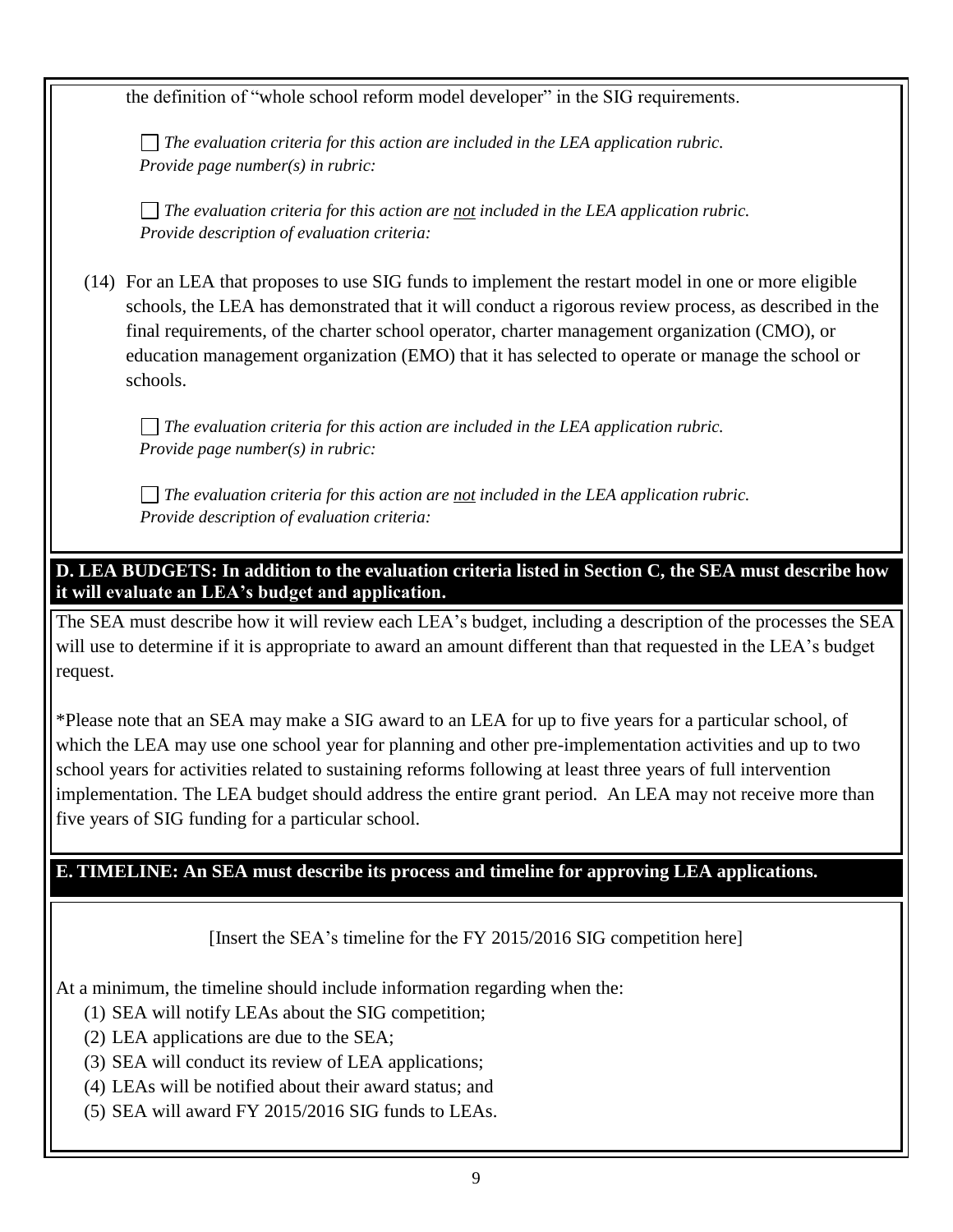the definition of "whole school reform model developer" in the SIG requirements.

*The evaluation criteria for this action are included in the LEA application rubric. Provide page number(s) in rubric:* 

*The evaluation criteria for this action are not included in the LEA application rubric. Provide description of evaluation criteria:*

(14) For an LEA that proposes to use SIG funds to implement the restart model in one or more eligible schools, the LEA has demonstrated that it will conduct a rigorous review process, as described in the final requirements, of the charter school operator, charter management organization (CMO), or education management organization (EMO) that it has selected to operate or manage the school or schools.

*The evaluation criteria for this action are included in the LEA application rubric. Provide page number(s) in rubric:* 

*The evaluation criteria for this action are not included in the LEA application rubric. Provide description of evaluation criteria:*

**D. LEA BUDGETS: In addition to the evaluation criteria listed in Section C, the SEA must describe how it will evaluate an LEA's budget and application.**

The SEA must describe how it will review each LEA's budget, including a description of the processes the SEA will use to determine if it is appropriate to award an amount different than that requested in the LEA's budget request.

\*Please note that an SEA may make a SIG award to an LEA for up to five years for a particular school, of which the LEA may use one school year for planning and other pre-implementation activities and up to two school years for activities related to sustaining reforms following at least three years of full intervention implementation. The LEA budget should address the entire grant period. An LEA may not receive more than five years of SIG funding for a particular school.

#### **E. TIMELINE: An SEA must describe its process and timeline for approving LEA applications.**

[Insert the SEA's timeline for the FY 2015/2016 SIG competition here]

At a minimum, the timeline should include information regarding when the:

- (1) SEA will notify LEAs about the SIG competition;
- (2) LEA applications are due to the SEA;
- (3) SEA will conduct its review of LEA applications;
- (4) LEAs will be notified about their award status; and
- (5) SEA will award FY 2015/2016 SIG funds to LEAs.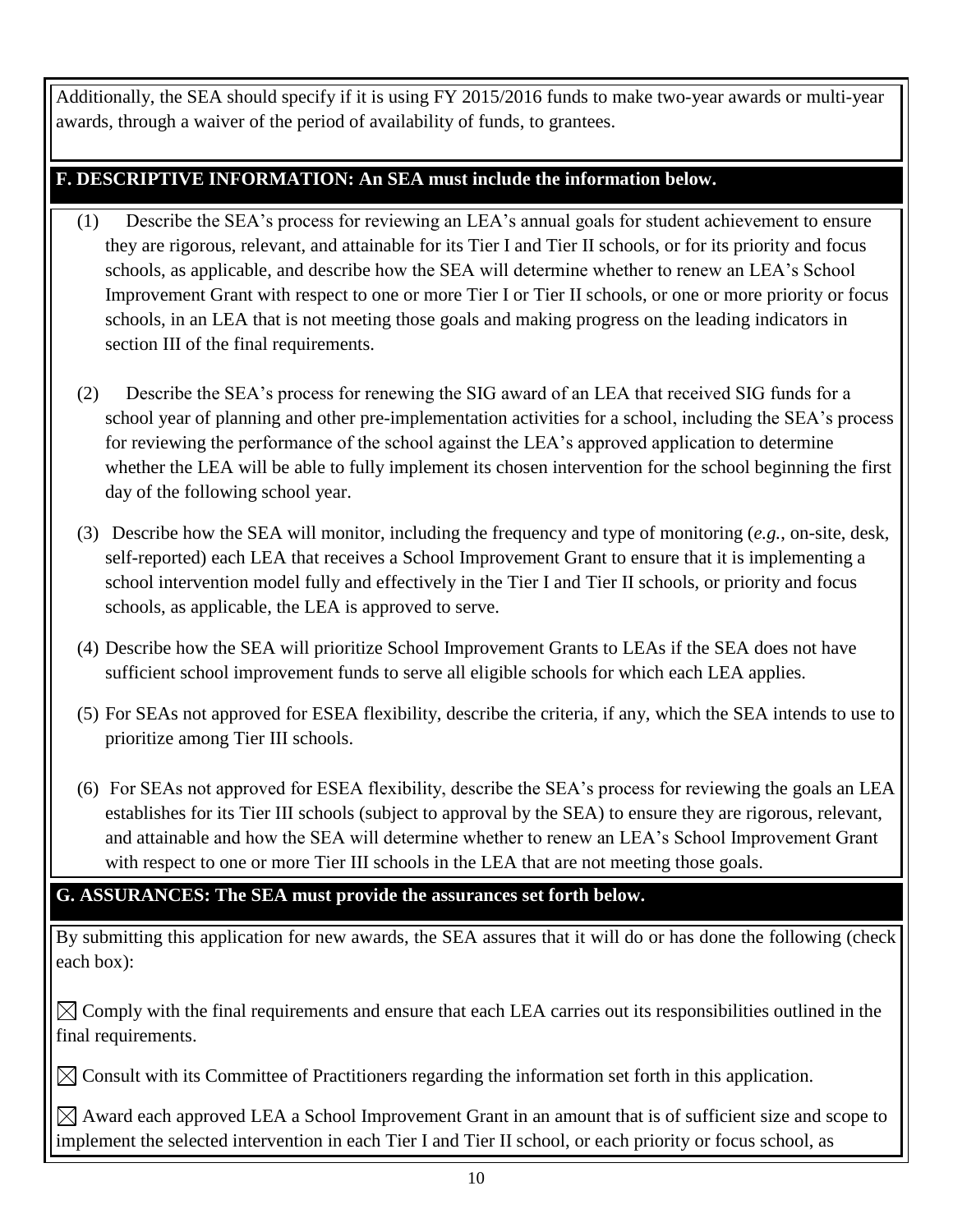Additionally, the SEA should specify if it is using FY 2015/2016 funds to make two-year awards or multi-year awards, through a waiver of the period of availability of funds, to grantees.

#### **F. DESCRIPTIVE INFORMATION: An SEA must include the information below.**

- (1) Describe the SEA's process for reviewing an LEA's annual goals for student achievement to ensure they are rigorous, relevant, and attainable for its Tier I and Tier II schools, or for its priority and focus schools, as applicable, and describe how the SEA will determine whether to renew an LEA's School Improvement Grant with respect to one or more Tier I or Tier II schools, or one or more priority or focus schools, in an LEA that is not meeting those goals and making progress on the leading indicators in section III of the final requirements.
- (2) Describe the SEA's process for renewing the SIG award of an LEA that received SIG funds for a school year of planning and other pre-implementation activities for a school, including the SEA's process for reviewing the performance of the school against the LEA's approved application to determine whether the LEA will be able to fully implement its chosen intervention for the school beginning the first day of the following school year.
- (3) Describe how the SEA will monitor, including the frequency and type of monitoring (*e.g.*, on-site, desk, self-reported) each LEA that receives a School Improvement Grant to ensure that it is implementing a school intervention model fully and effectively in the Tier I and Tier II schools, or priority and focus schools, as applicable, the LEA is approved to serve.
- (4) Describe how the SEA will prioritize School Improvement Grants to LEAs if the SEA does not have sufficient school improvement funds to serve all eligible schools for which each LEA applies.
- (5) For SEAs not approved for ESEA flexibility, describe the criteria, if any, which the SEA intends to use to prioritize among Tier III schools.
- (6) For SEAs not approved for ESEA flexibility, describe the SEA's process for reviewing the goals an LEA establishes for its Tier III schools (subject to approval by the SEA) to ensure they are rigorous, relevant, and attainable and how the SEA will determine whether to renew an LEA's School Improvement Grant with respect to one or more Tier III schools in the LEA that are not meeting those goals.

## **G. ASSURANCES: The SEA must provide the assurances set forth below.**

By submitting this application for new awards, the SEA assures that it will do or has done the following (check each box):

 $\boxtimes$  Comply with the final requirements and ensure that each LEA carries out its responsibilities outlined in the final requirements.

 $\boxtimes$  Consult with its Committee of Practitioners regarding the information set forth in this application.

 $\boxtimes$  Award each approved LEA a School Improvement Grant in an amount that is of sufficient size and scope to implement the selected intervention in each Tier I and Tier II school, or each priority or focus school, as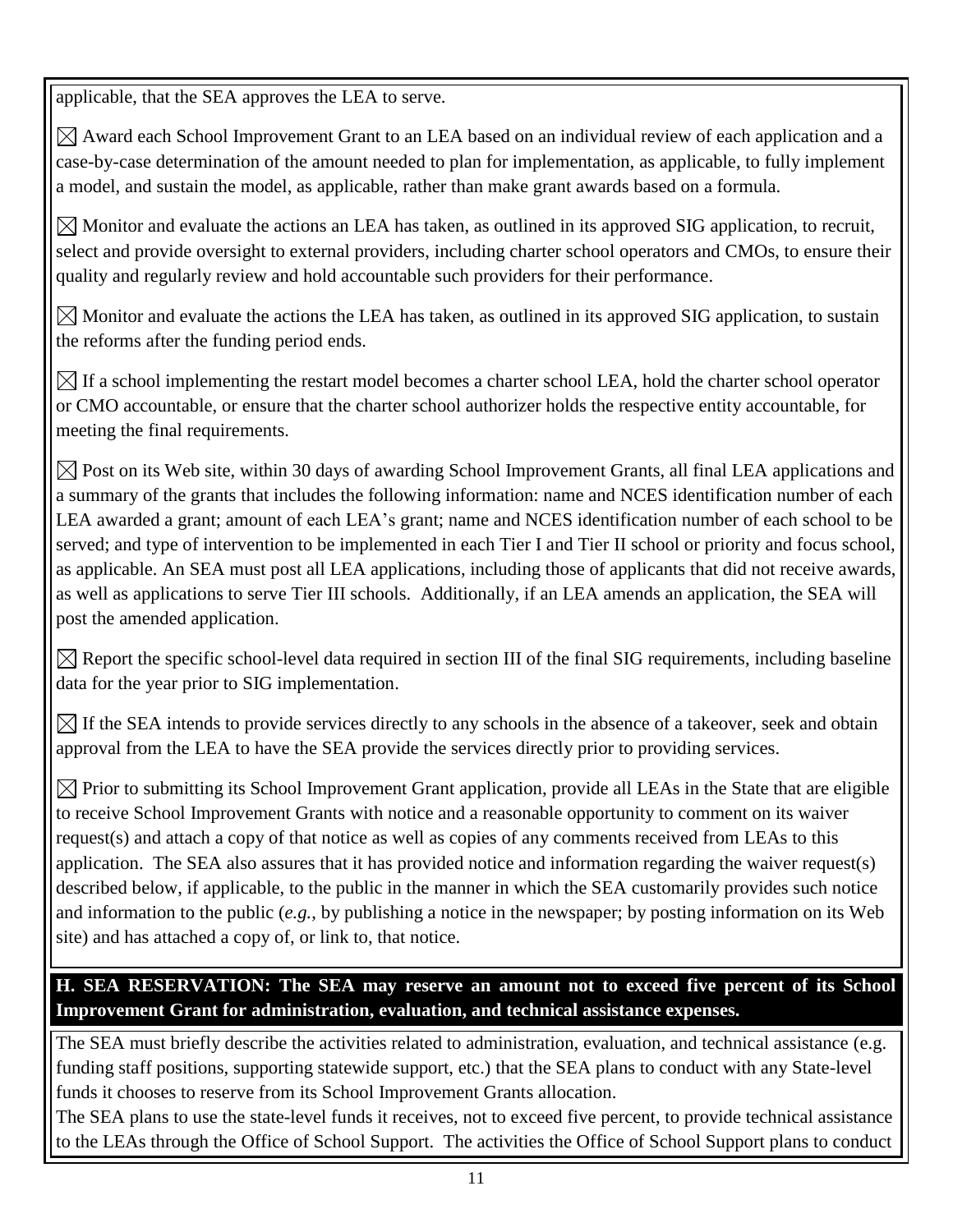applicable, that the SEA approves the LEA to serve.

 $\boxtimes$  Award each School Improvement Grant to an LEA based on an individual review of each application and a case-by-case determination of the amount needed to plan for implementation, as applicable, to fully implement a model, and sustain the model, as applicable, rather than make grant awards based on a formula.

 $\boxtimes$  Monitor and evaluate the actions an LEA has taken, as outlined in its approved SIG application, to recruit, select and provide oversight to external providers, including charter school operators and CMOs, to ensure their quality and regularly review and hold accountable such providers for their performance.

 $\boxtimes$  Monitor and evaluate the actions the LEA has taken, as outlined in its approved SIG application, to sustain the reforms after the funding period ends.

 $\boxtimes$  If a school implementing the restart model becomes a charter school LEA, hold the charter school operator or CMO accountable, or ensure that the charter school authorizer holds the respective entity accountable, for meeting the final requirements.

 $\boxtimes$  Post on its Web site, within 30 days of awarding School Improvement Grants, all final LEA applications and a summary of the grants that includes the following information: name and NCES identification number of each LEA awarded a grant; amount of each LEA's grant; name and NCES identification number of each school to be served; and type of intervention to be implemented in each Tier I and Tier II school or priority and focus school, as applicable. An SEA must post all LEA applications, including those of applicants that did not receive awards, as well as applications to serve Tier III schools. Additionally, if an LEA amends an application, the SEA will post the amended application.

 $\boxtimes$  Report the specific school-level data required in section III of the final SIG requirements, including baseline data for the year prior to SIG implementation.

 $\boxtimes$  If the SEA intends to provide services directly to any schools in the absence of a takeover, seek and obtain approval from the LEA to have the SEA provide the services directly prior to providing services.

 $\boxtimes$  Prior to submitting its School Improvement Grant application, provide all LEAs in the State that are eligible to receive School Improvement Grants with notice and a reasonable opportunity to comment on its waiver request(s) and attach a copy of that notice as well as copies of any comments received from LEAs to this application. The SEA also assures that it has provided notice and information regarding the waiver request(s) described below, if applicable, to the public in the manner in which the SEA customarily provides such notice and information to the public (*e.g.*, by publishing a notice in the newspaper; by posting information on its Web site) and has attached a copy of, or link to, that notice.

**H. SEA RESERVATION: The SEA may reserve an amount not to exceed five percent of its School Improvement Grant for administration, evaluation, and technical assistance expenses.**

The SEA must briefly describe the activities related to administration, evaluation, and technical assistance (e.g. funding staff positions, supporting statewide support, etc.) that the SEA plans to conduct with any State-level funds it chooses to reserve from its School Improvement Grants allocation.

The SEA plans to use the state-level funds it receives, not to exceed five percent, to provide technical assistance to the LEAs through the Office of School Support. The activities the Office of School Support plans to conduct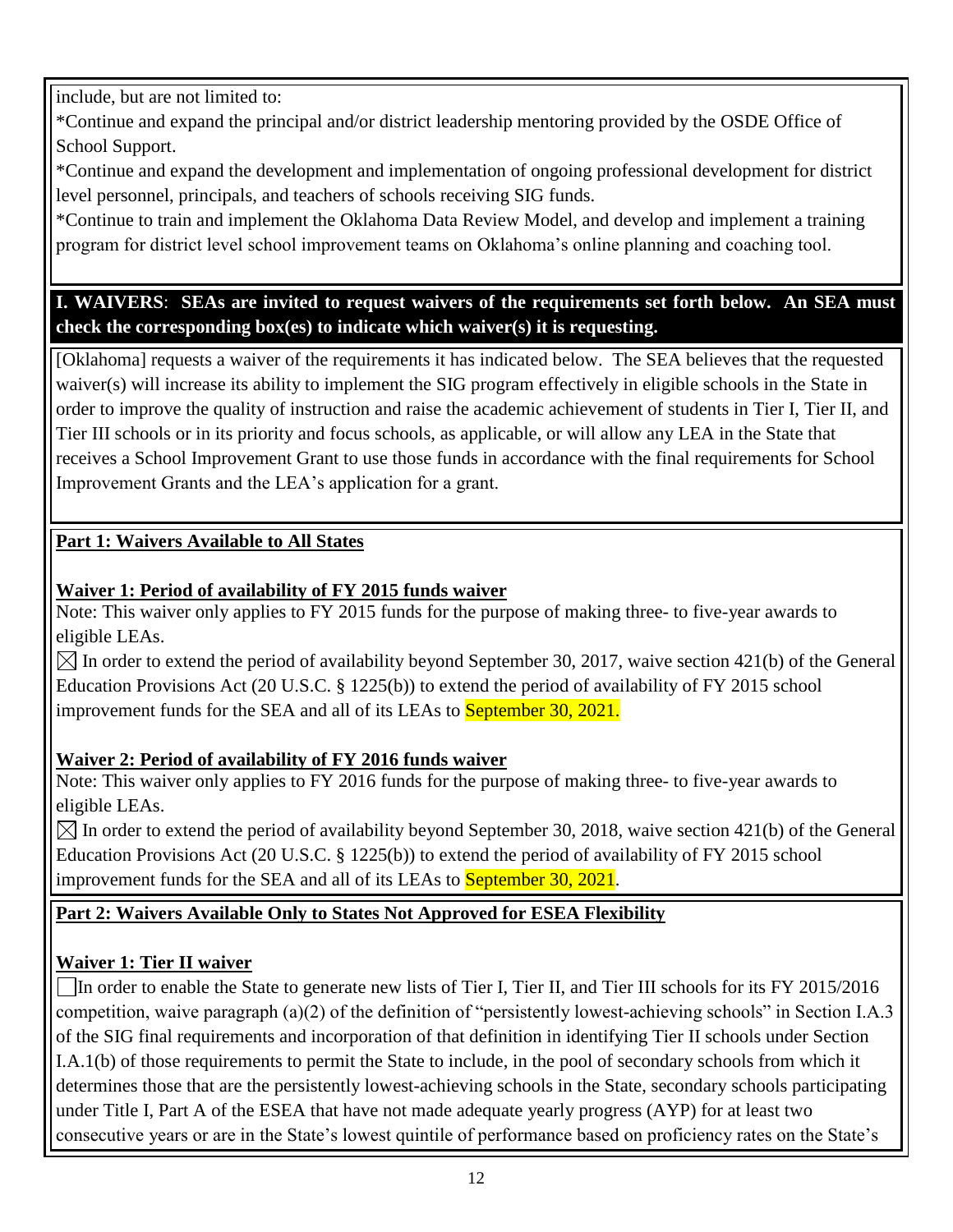include, but are not limited to:

\*Continue and expand the principal and/or district leadership mentoring provided by the OSDE Office of School Support.

\*Continue and expand the development and implementation of ongoing professional development for district level personnel, principals, and teachers of schools receiving SIG funds.

\*Continue to train and implement the Oklahoma Data Review Model, and develop and implement a training program for district level school improvement teams on Oklahoma's online planning and coaching tool.

#### **I. WAIVERS**: **SEAs are invited to request waivers of the requirements set forth below. An SEA must check the corresponding box(es) to indicate which waiver(s) it is requesting.**

[Oklahoma] requests a waiver of the requirements it has indicated below. The SEA believes that the requested waiver(s) will increase its ability to implement the SIG program effectively in eligible schools in the State in order to improve the quality of instruction and raise the academic achievement of students in Tier I, Tier II, and Tier III schools or in its priority and focus schools, as applicable, or will allow any LEA in the State that receives a School Improvement Grant to use those funds in accordance with the final requirements for School Improvement Grants and the LEA's application for a grant.

#### **Part 1: Waivers Available to All States**

#### **Waiver 1: Period of availability of FY 2015 funds waiver**

Note: This waiver only applies to FY 2015 funds for the purpose of making three- to five-year awards to eligible LEAs.

 $\boxtimes$  In order to extend the period of availability beyond September 30, 2017, waive section 421(b) of the General Education Provisions Act (20 U.S.C. § 1225(b)) to extend the period of availability of FY 2015 school improvement funds for the SEA and all of its LEAs to **September 30, 2021.** 

#### **Waiver 2: Period of availability of FY 2016 funds waiver**

Note: This waiver only applies to FY 2016 funds for the purpose of making three- to five-year awards to eligible LEAs.

 $\boxtimes$  In order to extend the period of availability beyond September 30, 2018, waive section 421(b) of the General Education Provisions Act (20 U.S.C. § 1225(b)) to extend the period of availability of FY 2015 school improvement funds for the SEA and all of its LEAs to **September 30, 2021**.

## **Part 2: Waivers Available Only to States Not Approved for ESEA Flexibility**

#### **Waiver 1: Tier II waiver**

In order to enable the State to generate new lists of Tier I, Tier II, and Tier III schools for its  $FY$  2015/2016 competition, waive paragraph (a)(2) of the definition of "persistently lowest-achieving schools" in Section I.A.3 of the SIG final requirements and incorporation of that definition in identifying Tier II schools under Section I.A.1(b) of those requirements to permit the State to include, in the pool of secondary schools from which it determines those that are the persistently lowest-achieving schools in the State, secondary schools participating under Title I, Part A of the ESEA that have not made adequate yearly progress (AYP) for at least two consecutive years or are in the State's lowest quintile of performance based on proficiency rates on the State's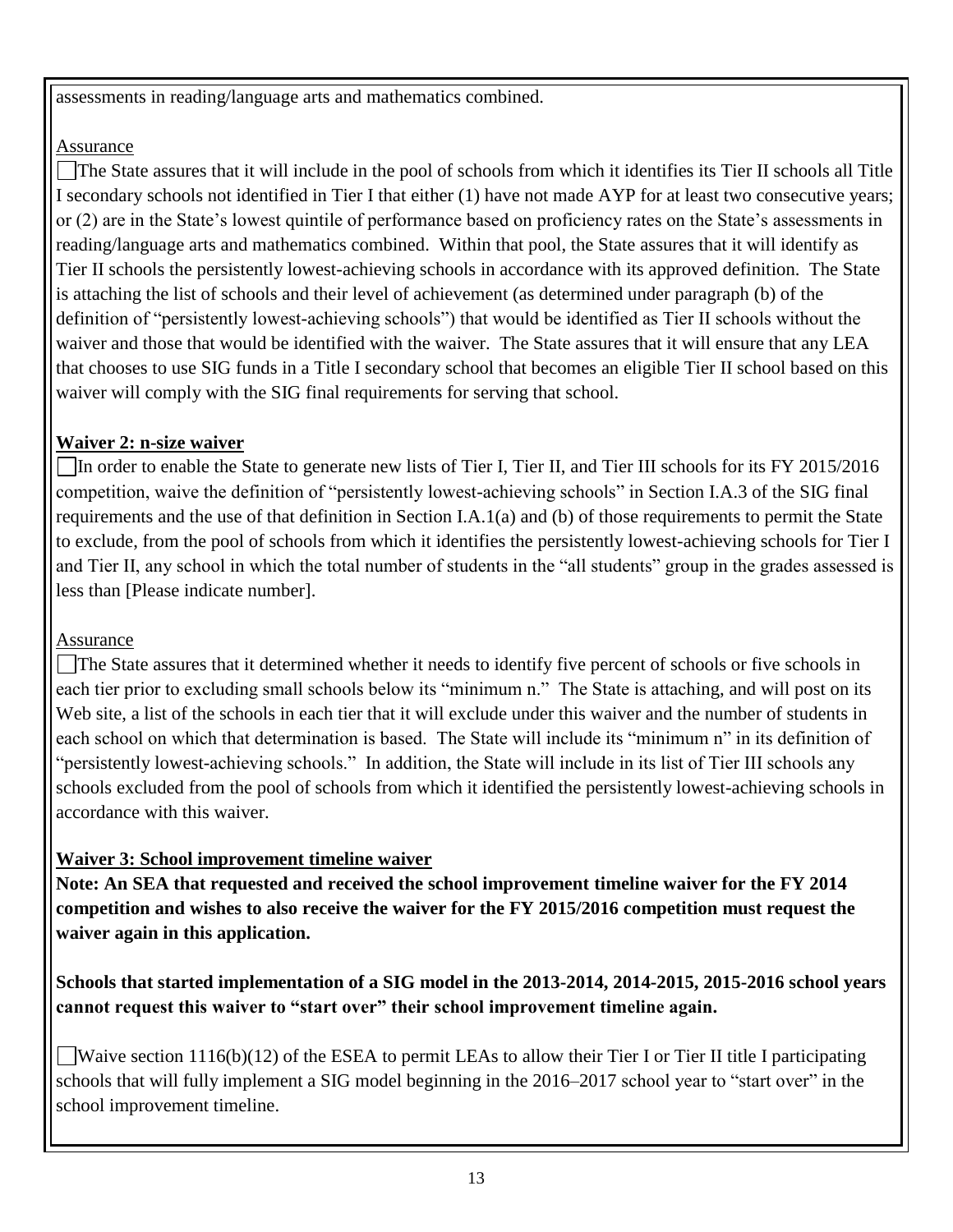assessments in reading/language arts and mathematics combined.

#### Assurance

The State assures that it will include in the pool of schools from which it identifies its Tier II schools all Title I secondary schools not identified in Tier I that either (1) have not made AYP for at least two consecutive years; or (2) are in the State's lowest quintile of performance based on proficiency rates on the State's assessments in reading/language arts and mathematics combined. Within that pool, the State assures that it will identify as Tier II schools the persistently lowest-achieving schools in accordance with its approved definition. The State is attaching the list of schools and their level of achievement (as determined under paragraph (b) of the definition of "persistently lowest-achieving schools") that would be identified as Tier II schools without the waiver and those that would be identified with the waiver. The State assures that it will ensure that any LEA that chooses to use SIG funds in a Title I secondary school that becomes an eligible Tier II school based on this waiver will comply with the SIG final requirements for serving that school.

#### **Waiver 2: n-size waiver**

In order to enable the State to generate new lists of Tier I, Tier II, and Tier III schools for its FY 2015/2016 competition, waive the definition of "persistently lowest-achieving schools" in Section I.A.3 of the SIG final requirements and the use of that definition in Section I.A.1(a) and (b) of those requirements to permit the State to exclude, from the pool of schools from which it identifies the persistently lowest-achieving schools for Tier I and Tier II, any school in which the total number of students in the "all students" group in the grades assessed is less than [Please indicate number].

## Assurance

The State assures that it determined whether it needs to identify five percent of schools or five schools in each tier prior to excluding small schools below its "minimum n." The State is attaching, and will post on its Web site, a list of the schools in each tier that it will exclude under this waiver and the number of students in each school on which that determination is based. The State will include its "minimum n" in its definition of "persistently lowest-achieving schools." In addition, the State will include in its list of Tier III schools any schools excluded from the pool of schools from which it identified the persistently lowest-achieving schools in accordance with this waiver.

## **Waiver 3: School improvement timeline waiver**

**Note: An SEA that requested and received the school improvement timeline waiver for the FY 2014 competition and wishes to also receive the waiver for the FY 2015/2016 competition must request the waiver again in this application.**

## **Schools that started implementation of a SIG model in the 2013-2014, 2014-2015, 2015-2016 school years cannot request this waiver to "start over" their school improvement timeline again.**

Waive section  $1116(b)(12)$  of the ESEA to permit LEAs to allow their Tier I or Tier II title I participating schools that will fully implement a SIG model beginning in the 2016–2017 school year to "start over" in the school improvement timeline.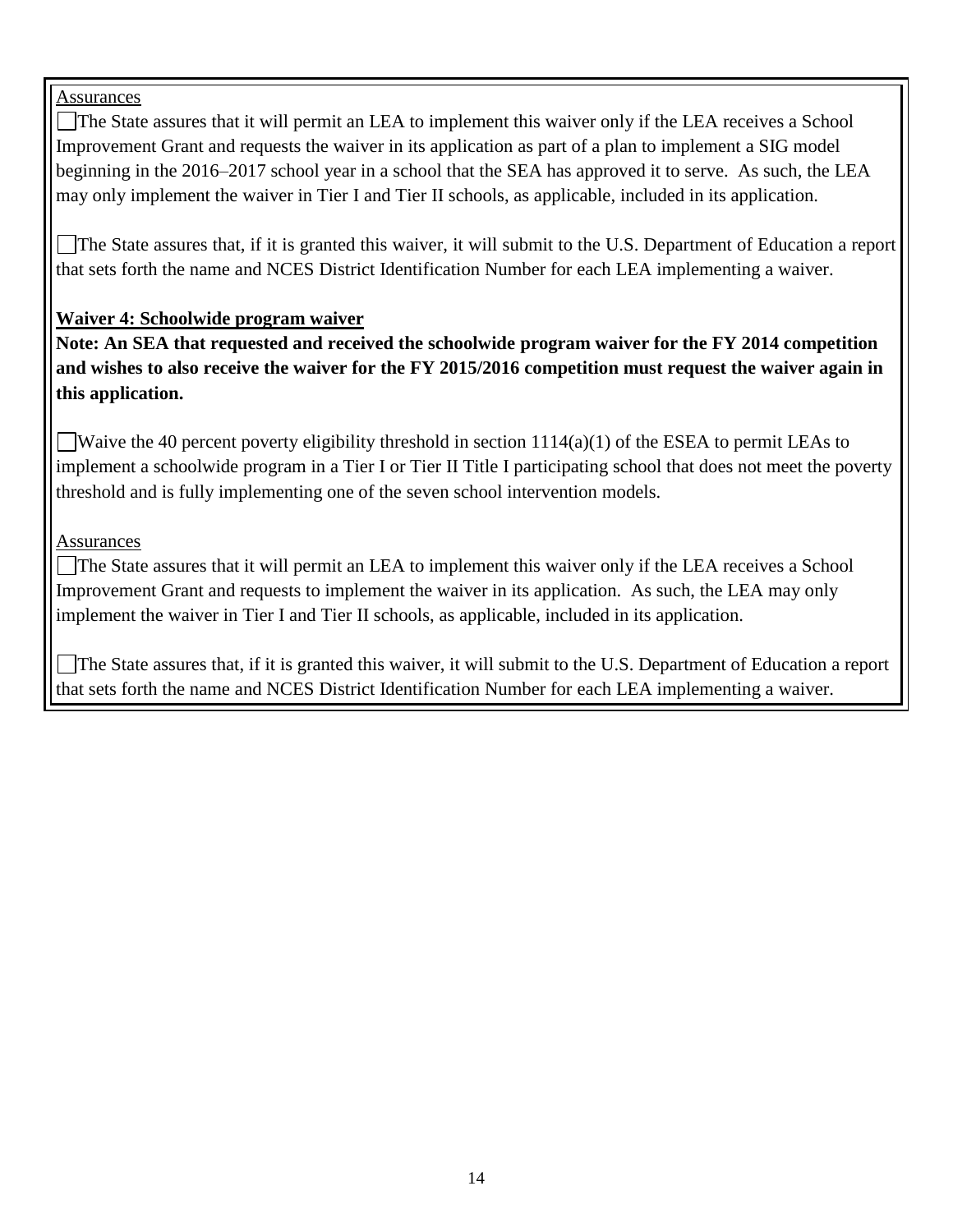#### Assurances

The State assures that it will permit an LEA to implement this waiver only if the LEA receives a School Improvement Grant and requests the waiver in its application as part of a plan to implement a SIG model beginning in the 2016–2017 school year in a school that the SEA has approved it to serve. As such, the LEA may only implement the waiver in Tier I and Tier II schools, as applicable, included in its application.

The State assures that, if it is granted this waiver, it will submit to the U.S. Department of Education a report that sets forth the name and NCES District Identification Number for each LEA implementing a waiver.

#### **Waiver 4: Schoolwide program waiver**

**Note: An SEA that requested and received the schoolwide program waiver for the FY 2014 competition and wishes to also receive the waiver for the FY 2015/2016 competition must request the waiver again in this application.**

Waive the 40 percent poverty eligibility threshold in section  $1114(a)(1)$  of the ESEA to permit LEAs to implement a schoolwide program in a Tier I or Tier II Title I participating school that does not meet the poverty threshold and is fully implementing one of the seven school intervention models.

**Assurances** 

The State assures that it will permit an LEA to implement this waiver only if the LEA receives a School Improvement Grant and requests to implement the waiver in its application. As such, the LEA may only implement the waiver in Tier I and Tier II schools, as applicable, included in its application.

The State assures that, if it is granted this waiver, it will submit to the U.S. Department of Education a report that sets forth the name and NCES District Identification Number for each LEA implementing a waiver.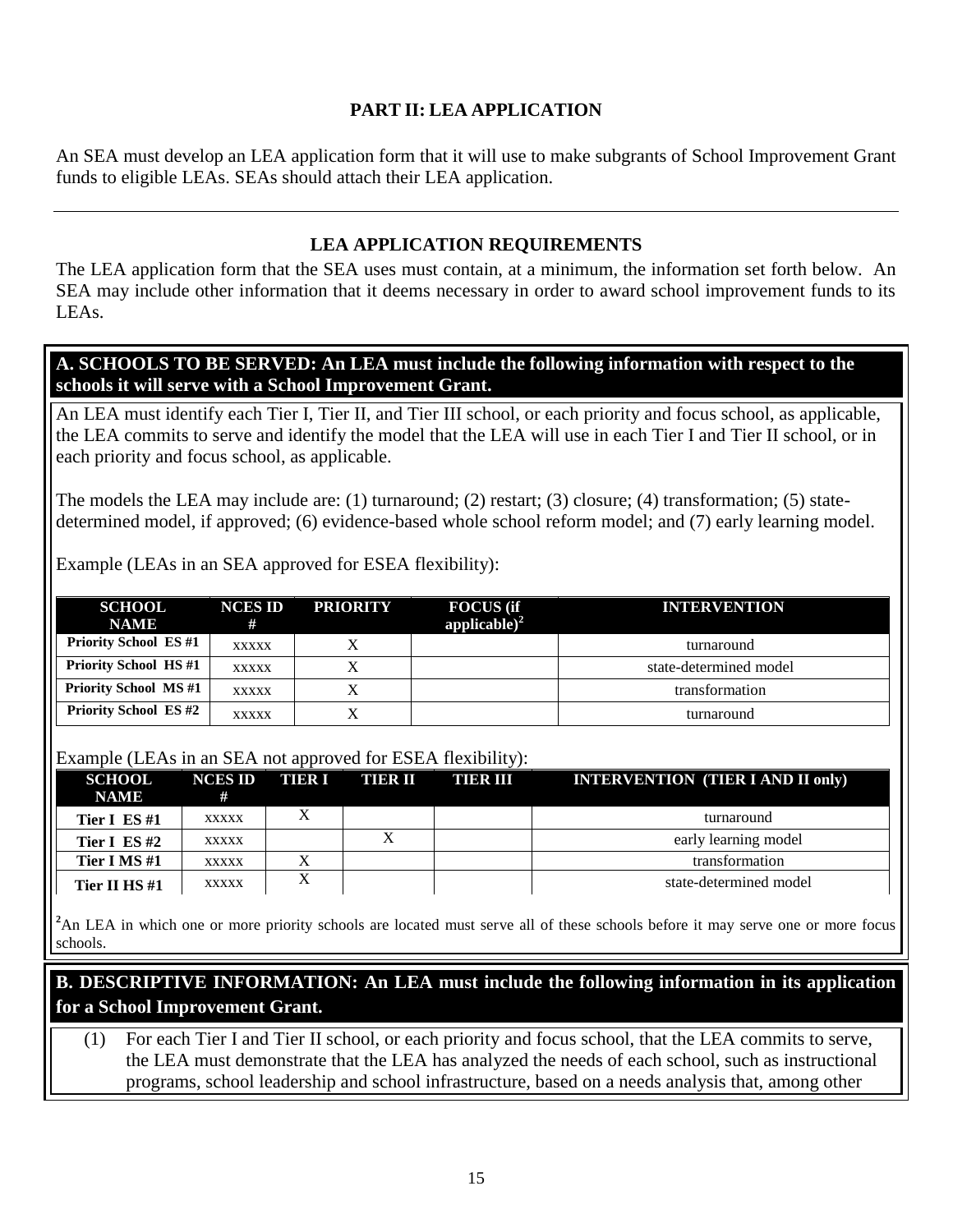#### **PART II: LEA APPLICATION**

An SEA must develop an LEA application form that it will use to make subgrants of School Improvement Grant funds to eligible LEAs. SEAs should attach their LEA application.

#### **LEA APPLICATION REQUIREMENTS**

The LEA application form that the SEA uses must contain, at a minimum, the information set forth below. An SEA may include other information that it deems necessary in order to award school improvement funds to its LEAs.

**A. SCHOOLS TO BE SERVED: An LEA must include the following information with respect to the schools it will serve with a School Improvement Grant.**

An LEA must identify each Tier I, Tier II, and Tier III school, or each priority and focus school, as applicable, the LEA commits to serve and identify the model that the LEA will use in each Tier I and Tier II school, or in each priority and focus school, as applicable.

The models the LEA may include are: (1) turnaround; (2) restart; (3) closure; (4) transformation; (5) statedetermined model, if approved; (6) evidence-based whole school reform model; and (7) early learning model.

Example (LEAs in an SEA approved for ESEA flexibility):

| <b>SCHOOL</b><br><b>NAME</b> | <b>NCES ID</b><br># | <b>PRIORITY</b> | <b>FOCUS</b> (if<br>applicable) $^{2}$ | <b>INTERVENTION</b>    |
|------------------------------|---------------------|-----------------|----------------------------------------|------------------------|
| <b>Priority School ES#1</b>  | <b>XXXXX</b>        |                 |                                        | turnaround             |
| <b>Priority School HS#1</b>  | <b>XXXXX</b>        |                 |                                        | state-determined model |
| <b>Priority School MS#1</b>  | <b>XXXXX</b>        |                 |                                        | transformation         |
| <b>Priority School ES#2</b>  | <b>XXXXX</b>        | X               |                                        | turnaround             |

#### Example (LEAs in an SEA not approved for ESEA flexibility):

| <b>SCHOOL</b><br><b>NAME</b> | <b>NCES ID</b><br># | THER I | <b>THER II</b> | THER III | <b>INTERVENTION (TIER I AND II only)</b> |
|------------------------------|---------------------|--------|----------------|----------|------------------------------------------|
| Tier I ES $#1$               | <b>XXXXX</b>        |        |                |          | turnaround                               |
| Tier I ES $#2$               | <b>XXXXX</b>        |        |                |          | early learning model                     |
| Tier I MS #1                 | <b>XXXXX</b>        |        |                |          | transformation                           |
| Tier II HS #1                | XXXXX               | X      |                |          | state-determined model                   |

<sup>2</sup>An LEA in which one or more priority schools are located must serve all of these schools before it may serve one or more focus schools.

## <sup>2</sup>**B. DESCRIPTIVE INFORMATION: An LEA must include the following information in its application for a School Improvement Grant.**

(1) For each Tier I and Tier II school, or each priority and focus school, that the LEA commits to serve, the LEA must demonstrate that the LEA has analyzed the needs of each school, such as instructional programs, school leadership and school infrastructure, based on a needs analysis that, among other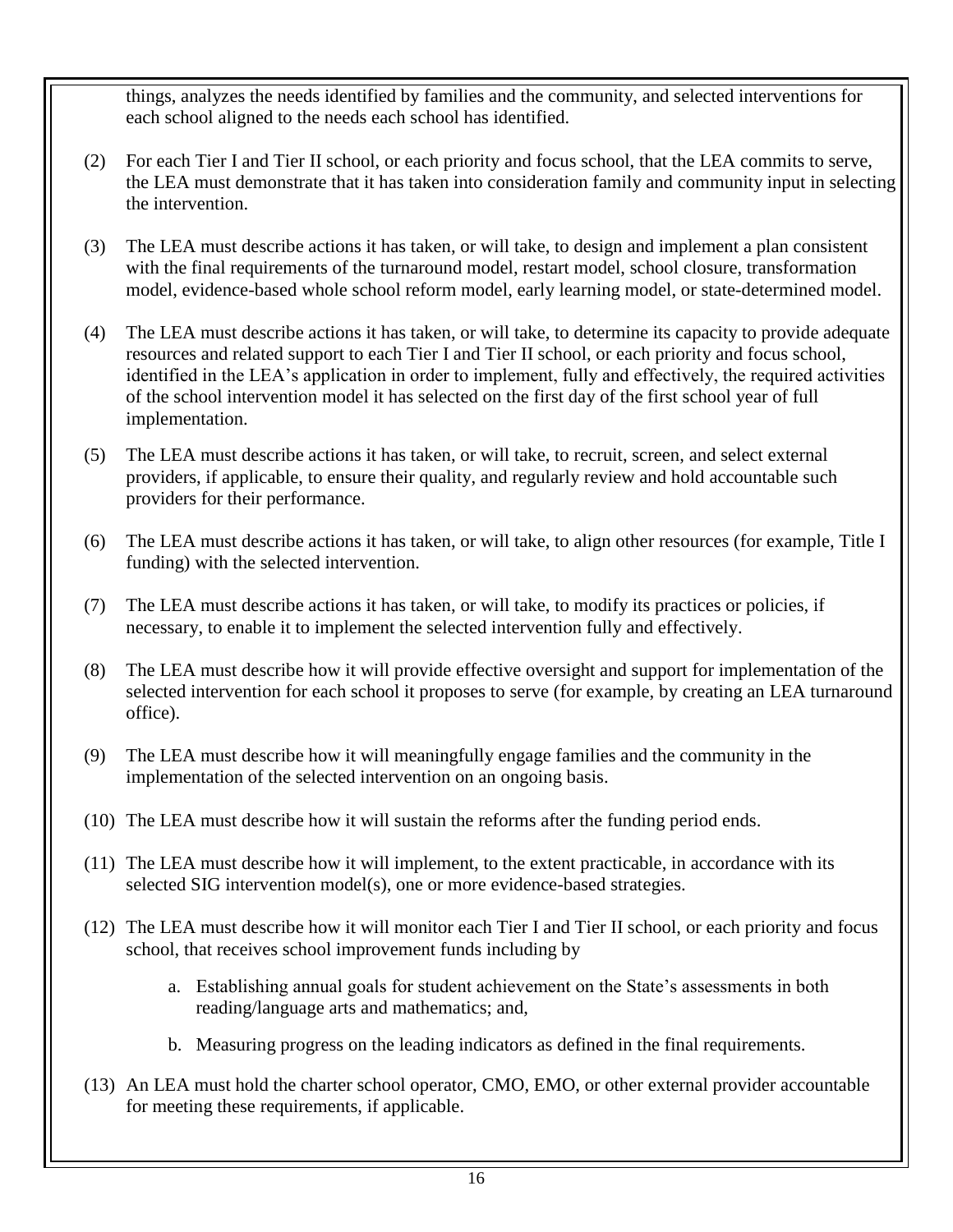things, analyzes the needs identified by families and the community, and selected interventions for each school aligned to the needs each school has identified.

- (2) For each Tier I and Tier II school, or each priority and focus school, that the LEA commits to serve, the LEA must demonstrate that it has taken into consideration family and community input in selecting the intervention.
- (3) The LEA must describe actions it has taken, or will take, to design and implement a plan consistent with the final requirements of the turnaround model, restart model, school closure, transformation model, evidence-based whole school reform model, early learning model, or state-determined model.
- (4) The LEA must describe actions it has taken, or will take, to determine its capacity to provide adequate resources and related support to each Tier I and Tier II school, or each priority and focus school, identified in the LEA's application in order to implement, fully and effectively, the required activities of the school intervention model it has selected on the first day of the first school year of full implementation.
- (5) The LEA must describe actions it has taken, or will take, to recruit, screen, and select external providers, if applicable, to ensure their quality, and regularly review and hold accountable such providers for their performance.
- (6) The LEA must describe actions it has taken, or will take, to align other resources (for example, Title I funding) with the selected intervention.
- (7) The LEA must describe actions it has taken, or will take, to modify its practices or policies, if necessary, to enable it to implement the selected intervention fully and effectively.
- (8) The LEA must describe how it will provide effective oversight and support for implementation of the selected intervention for each school it proposes to serve (for example, by creating an LEA turnaround office).
- (9) The LEA must describe how it will meaningfully engage families and the community in the implementation of the selected intervention on an ongoing basis.
- (10) The LEA must describe how it will sustain the reforms after the funding period ends.
- (11) The LEA must describe how it will implement, to the extent practicable, in accordance with its selected SIG intervention model(s), one or more evidence-based strategies.
- (12) The LEA must describe how it will monitor each Tier I and Tier II school, or each priority and focus school, that receives school improvement funds including by
	- a. Establishing annual goals for student achievement on the State's assessments in both reading/language arts and mathematics; and,
	- b. Measuring progress on the leading indicators as defined in the final requirements.
- (13) An LEA must hold the charter school operator, CMO, EMO, or other external provider accountable for meeting these requirements, if applicable.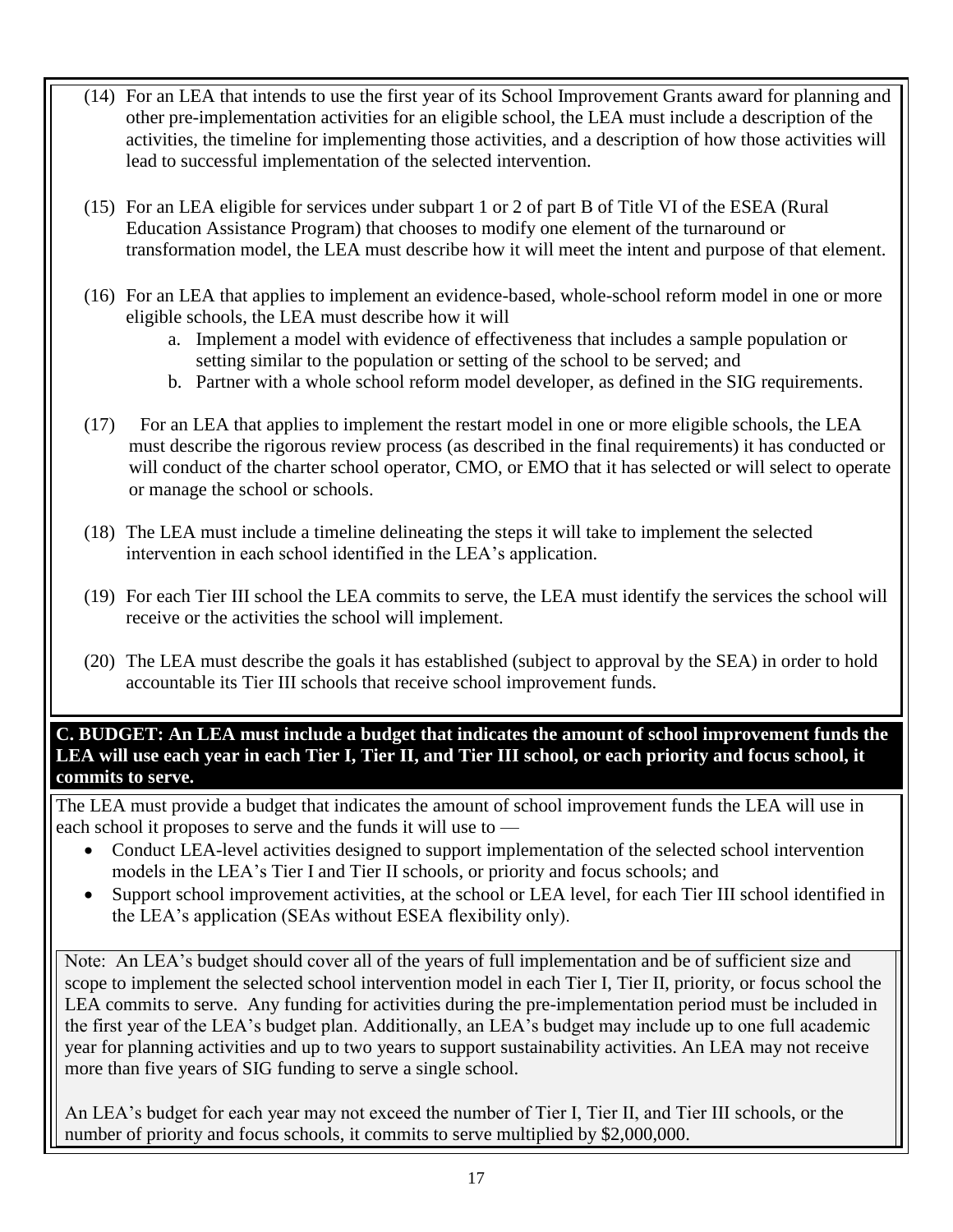- (14) For an LEA that intends to use the first year of its School Improvement Grants award for planning and other pre-implementation activities for an eligible school, the LEA must include a description of the activities, the timeline for implementing those activities, and a description of how those activities will lead to successful implementation of the selected intervention.
- (15) For an LEA eligible for services under subpart 1 or 2 of part B of Title VI of the ESEA (Rural Education Assistance Program) that chooses to modify one element of the turnaround or transformation model, the LEA must describe how it will meet the intent and purpose of that element.
- (16) For an LEA that applies to implement an evidence-based, whole-school reform model in one or more eligible schools, the LEA must describe how it will
	- a. Implement a model with evidence of effectiveness that includes a sample population or setting similar to the population or setting of the school to be served; and
	- b. Partner with a whole school reform model developer, as defined in the SIG requirements.
- (17) For an LEA that applies to implement the restart model in one or more eligible schools, the LEA must describe the rigorous review process (as described in the final requirements) it has conducted or will conduct of the charter school operator, CMO, or EMO that it has selected or will select to operate or manage the school or schools.
- (18) The LEA must include a timeline delineating the steps it will take to implement the selected intervention in each school identified in the LEA's application.
- (19) For each Tier III school the LEA commits to serve, the LEA must identify the services the school will receive or the activities the school will implement.
- (20) The LEA must describe the goals it has established (subject to approval by the SEA) in order to hold accountable its Tier III schools that receive school improvement funds.

**C. BUDGET: An LEA must include a budget that indicates the amount of school improvement funds the LEA will use each year in each Tier I, Tier II, and Tier III school, or each priority and focus school, it commits to serve.**

The LEA must provide a budget that indicates the amount of school improvement funds the LEA will use in each school it proposes to serve and the funds it will use to —

- Conduct LEA-level activities designed to support implementation of the selected school intervention models in the LEA's Tier I and Tier II schools, or priority and focus schools; and
- Support school improvement activities, at the school or LEA level, for each Tier III school identified in the LEA's application (SEAs without ESEA flexibility only).

 $\mathbf 1$  $\mathbf{I}$ serve. Any funding for activities during the pre-implementation period must be included in the first year of

 $\mathbf{1}$ 

 $\mathbf 1$ 

the LEA's three-year budget plan.

Note: An LEA's budget should cover all of the years of full implementation and be of sufficient size and scope to implement the selected school intervention model in each Tier I, Tier II, priority, or focus school the LEA commits to serve. Any funding for activities during the pre-implementation period must be included in the first year of the LEA's budget plan. Additionally, an LEA's budget may include up to one full academic year for planning activities and up to two years to support sustainability activities. An LEA may not receive more than five years of SIG funding to serve a single school.

An LEA's budget for each year may not exceed the number of Tier I, Tier II, and Tier III schools, or the number of priority and focus schools, it commits to serve multiplied by \$2,000,000.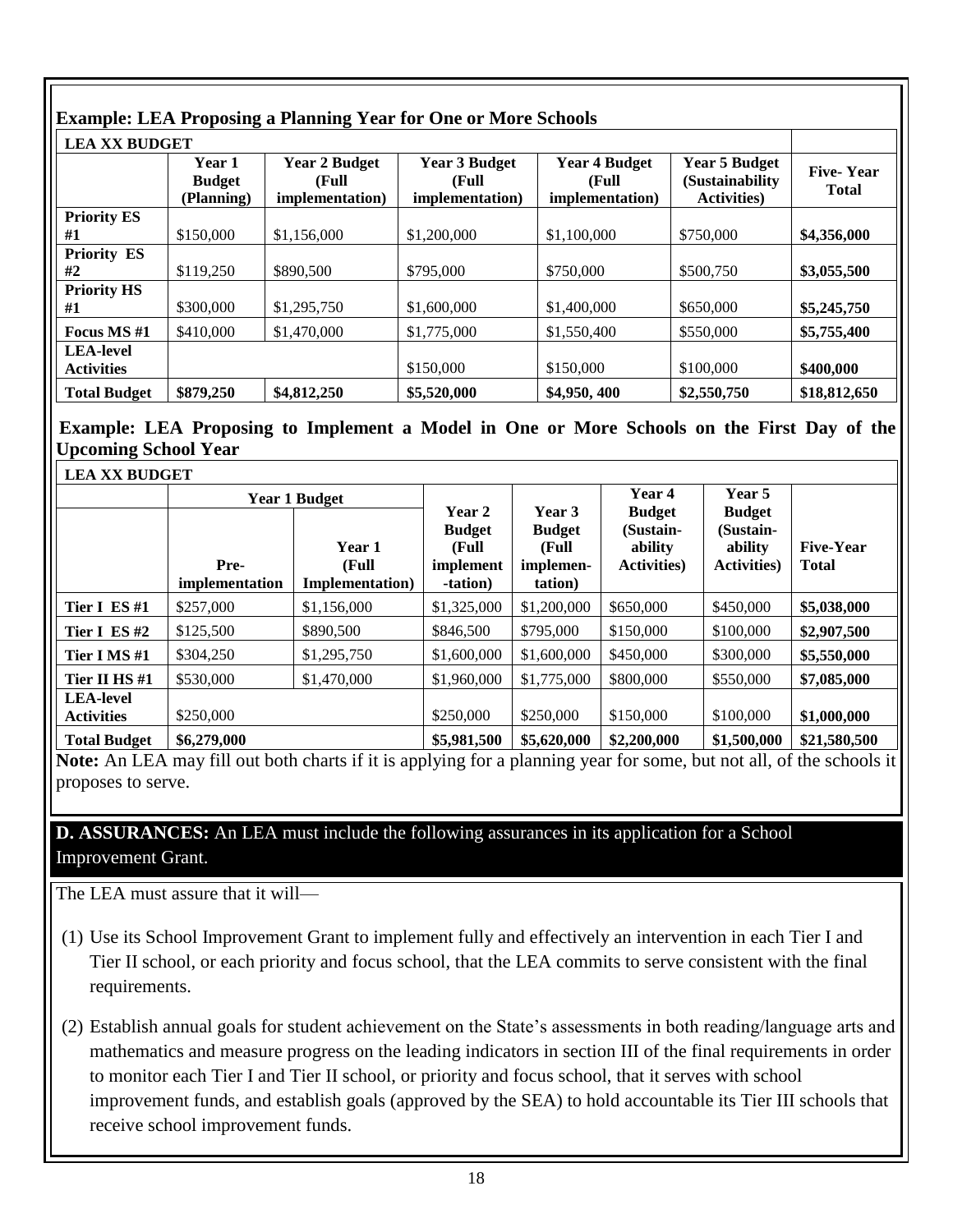#### **Example: LEA Proposing a Planning Year for One or More Schools LEA XX BUDGET Year 1 Budget (Planning) Year 2 Budget (Full implementation) Year 3 Budget (Full implementation) Year 4 Budget (Full implementation) Year 5 Budget (Sustainability Activities) Five- Year Total Priority ES #1** \$150,000 \$1,156,000 \$1,200,000 \$1,100,000 \$750,000 **\$4,356,000 Priority ES #2**  $\begin{array}{|l} \hline \text{ $3,055,500} \\ \hline \end{array}$  \$3,055,500  $\begin{array}{|l} \hline \text{ $890,500} \\ \hline \end{array}$  \$795,000  $\begin{array}{|l} \hline \text{ $570,000} \\ \hline \end{array}$  \$500,750  $\begin{array}{|l} \hline \text{ $83,055,500} \\ \hline \end{array}$ **Priority HS #1** \$300,000 \$1,295,750 \$1,600,000 \$1,400,000 \$650,000 **\$5,245,750 Focus MS** #1 | \$410,000 | \$1,470,000 | \$1,775,000 | \$1,550,400 | \$550,000 | \$5,755,400 **LEA-level Activities** \$150,000 \$150,000 \$100,000 **\$400,000 Total Budget \$879,250 \$4,812,250 \$5,520,000 \$4,950, 400 \$2,550,750 \$18,812,650**

#### **Example: LEA Proposing to Implement a Model in One or More Schools on the First Day of the Upcoming School Year**

| <b>LEA XX BUDGET</b>                  |                        |                                            |                                                            |                                                          |                                                              |                                                              |                                  |  |
|---------------------------------------|------------------------|--------------------------------------------|------------------------------------------------------------|----------------------------------------------------------|--------------------------------------------------------------|--------------------------------------------------------------|----------------------------------|--|
|                                       |                        | <b>Year 1 Budget</b>                       |                                                            |                                                          | Year 4                                                       | Year 5                                                       |                                  |  |
|                                       | Pre-<br>implementation | Year 1<br>(Full<br><b>Implementation</b> ) | Year 2<br><b>Budget</b><br>(Full)<br>implement<br>-tation) | Year 3<br><b>Budget</b><br>(Full<br>implemen-<br>tation) | <b>Budget</b><br>(Sustain-<br>ability<br><b>Activities</b> ) | <b>Budget</b><br>(Sustain-<br>ability<br><b>Activities</b> ) | <b>Five-Year</b><br><b>Total</b> |  |
| Tier I ES#1                           | \$257,000              | \$1,156,000                                | \$1,325,000                                                | \$1,200,000                                              | \$650,000                                                    | \$450,000                                                    | \$5,038,000                      |  |
| Tier I ES#2                           | \$125,500              | \$890,500                                  | \$846,500                                                  | \$795,000                                                | \$150,000                                                    | \$100,000                                                    | \$2,907,500                      |  |
| Tier I MS #1                          | \$304,250              | \$1,295,750                                | \$1,600,000                                                | \$1,600,000                                              | \$450,000                                                    | \$300,000                                                    | \$5,550,000                      |  |
| Tier II HS#1                          | \$530,000              | \$1,470,000                                | \$1,960,000                                                | \$1,775,000                                              | \$800,000                                                    | \$550,000                                                    | \$7,085,000                      |  |
| <b>LEA-level</b><br><b>Activities</b> | \$250,000              |                                            | \$250,000                                                  | \$250,000                                                | \$150,000                                                    | \$100,000                                                    | \$1,000,000                      |  |
| <b>Total Budget</b>                   | \$6,279,000            | \$5,981,500                                | \$5,620,000                                                | \$2,200,000                                              | \$1,500,000                                                  | \$21,580,500                                                 |                                  |  |

**Note:** An LEA may fill out both charts if it is applying for a planning year for some, but not all, of the schools it proposes to serve.

**D. ASSURANCES:** An LEA must include the following assurances in its application for a School Improvement Grant.

The LEA must assure that it will—

(1) Use its School Improvement Grant to implement fully and effectively an intervention in each Tier I and Tier II school, or each priority and focus school, that the LEA commits to serve consistent with the final requirements.

(2) Establish annual goals for student achievement on the State's assessments in both reading/language arts and mathematics and measure progress on the leading indicators in section III of the final requirements in order to monitor each Tier I and Tier II school, or priority and focus school, that it serves with school improvement funds, and establish goals (approved by the SEA) to hold accountable its Tier III schools that receive school improvement funds.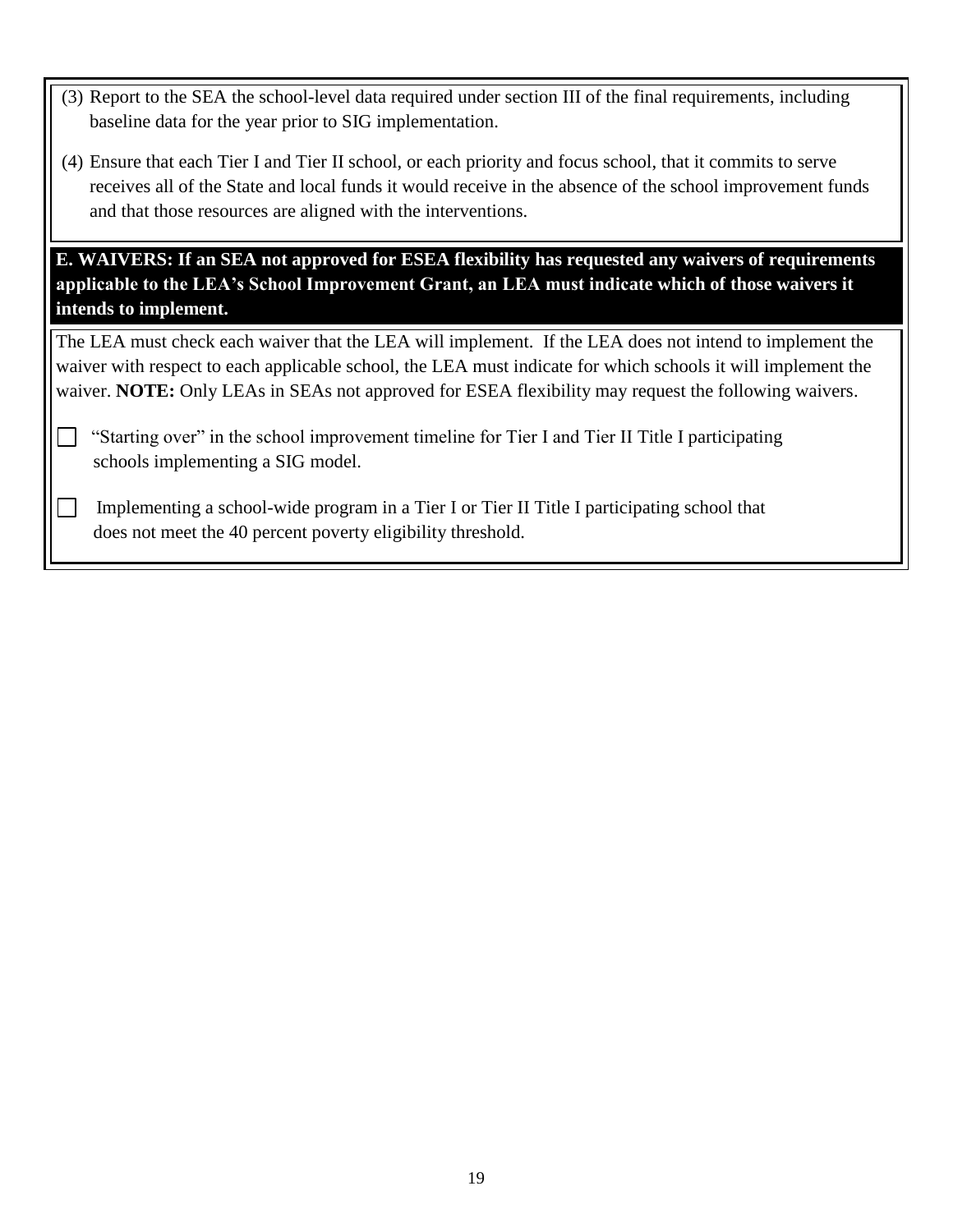- (3) Report to the SEA the school-level data required under section III of the final requirements, including baseline data for the year prior to SIG implementation.
- (4) Ensure that each Tier I and Tier II school, or each priority and focus school, that it commits to serve receives all of the State and local funds it would receive in the absence of the school improvement funds and that those resources are aligned with the interventions.

**E. WAIVERS: If an SEA not approved for ESEA flexibility has requested any waivers of requirements applicable to the LEA's School Improvement Grant, an LEA must indicate which of those waivers it intends to implement.**

The LEA must check each waiver that the LEA will implement. If the LEA does not intend to implement the waiver with respect to each applicable school, the LEA must indicate for which schools it will implement the waiver. **NOTE:** Only LEAs in SEAs not approved for ESEA flexibility may request the following waivers.

 "Starting over" in the school improvement timeline for Tier I and Tier II Title I participating schools implementing a SIG model.

 Implementing a school-wide program in a Tier I or Tier II Title I participating school that does not meet the 40 percent poverty eligibility threshold.

 $\blacksquare$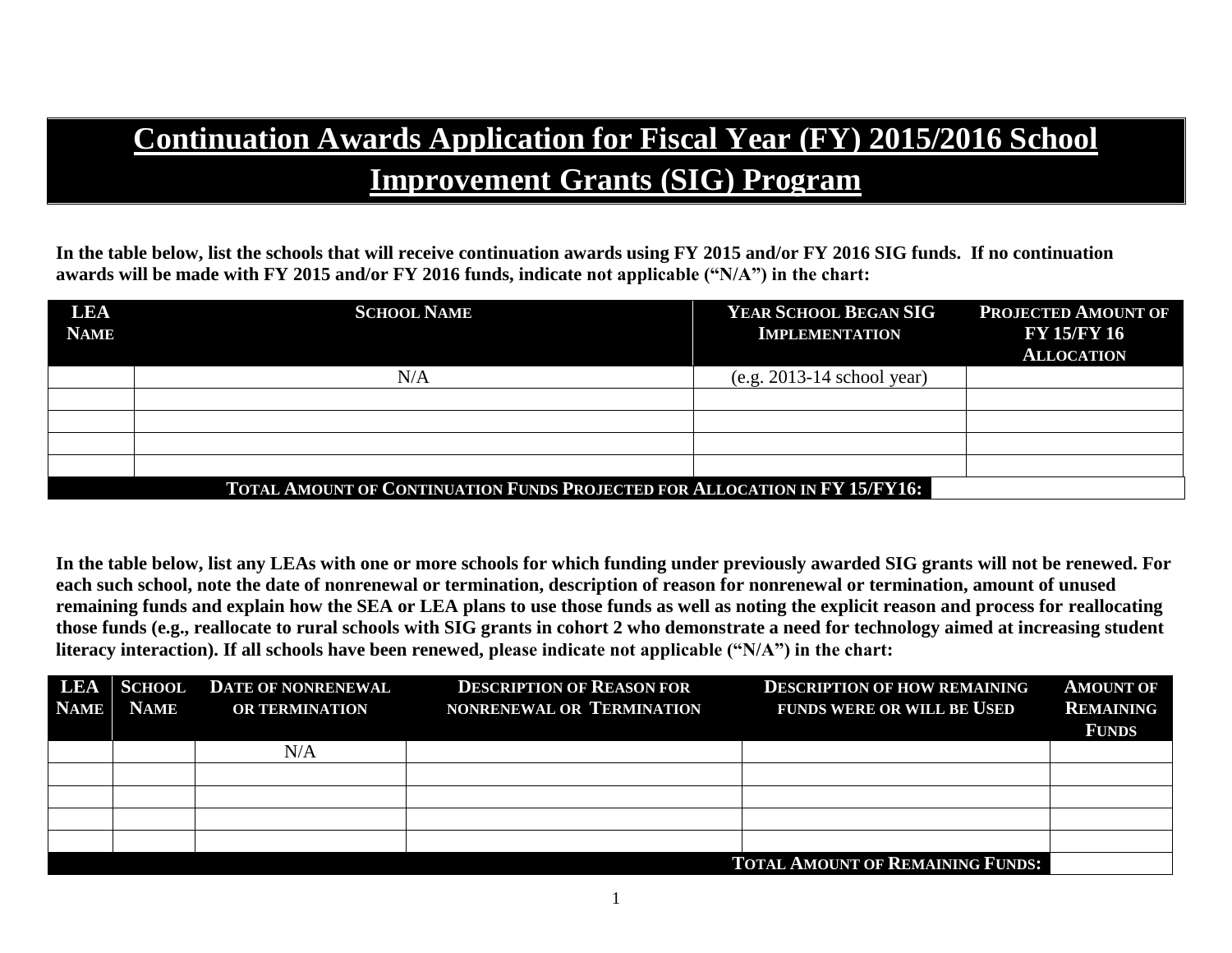# **Continuation Awards Application for Fiscal Year (FY) 2015/2016 School Improvement Grants (SIG) Program**

**In the table below, list the schools that will receive continuation awards using FY 2015 and/or FY 2016 SIG funds. If no continuation awards will be made with FY 2015 and/or FY 2016 funds, indicate not applicable ("N/A") in the chart:**

| <b>LEA</b><br><b>NAME</b> | <b>SCHOOL NAME</b>                                                         | YEAR SCHOOL BEGAN SIG<br><b>IMPLEMENTATION</b> | <b>PROJECTED AMOUNT OF</b><br><b>FY 15/FY 16</b><br><b>ALLOCATION</b> |  |  |  |  |
|---------------------------|----------------------------------------------------------------------------|------------------------------------------------|-----------------------------------------------------------------------|--|--|--|--|
|                           | N/A                                                                        | $(e.g. 2013-14$ school year)                   |                                                                       |  |  |  |  |
|                           |                                                                            |                                                |                                                                       |  |  |  |  |
|                           |                                                                            |                                                |                                                                       |  |  |  |  |
|                           |                                                                            |                                                |                                                                       |  |  |  |  |
|                           |                                                                            |                                                |                                                                       |  |  |  |  |
|                           | TOTAL AMOUNT OF CONTINUATION FUNDS PROJECTED FOR ALLOCATION IN FY 15/FY16: |                                                |                                                                       |  |  |  |  |

**In the table below, list any LEAs with one or more schools for which funding under previously awarded SIG grants will not be renewed. For each such school, note the date of nonrenewal or termination, description of reason for nonrenewal or termination, amount of unused remaining funds and explain how the SEA or LEA plans to use those funds as well as noting the explicit reason and process for reallocating those funds (e.g., reallocate to rural schools with SIG grants in cohort 2 who demonstrate a need for technology aimed at increasing student literacy interaction). If all schools have been renewed, please indicate not applicable ("N/A") in the chart:**

| <b>NAME</b> | <b>NAME</b> | <b>LEA SCHOOL DATE OF NONRENEWAL</b><br><b>OR TERMINATION</b> | <b>DESCRIPTION OF REASON FOR</b><br>NONRENEWAL OR TERMINATION | <b>DESCRIPTION OF HOW REMAINING</b><br><b>FUNDS WERE OR WILL BE USED</b> | <b>AMOUNT OF</b><br><b>REMAINING</b><br><b>FUNDS</b> |
|-------------|-------------|---------------------------------------------------------------|---------------------------------------------------------------|--------------------------------------------------------------------------|------------------------------------------------------|
|             |             | N/A                                                           |                                                               |                                                                          |                                                      |
|             |             |                                                               |                                                               |                                                                          |                                                      |
|             |             |                                                               |                                                               |                                                                          |                                                      |
|             |             |                                                               |                                                               |                                                                          |                                                      |
|             |             |                                                               |                                                               |                                                                          |                                                      |
|             |             |                                                               |                                                               | <b>TOTAL AMOUNT OF REMAINING FUNDS:</b>                                  |                                                      |